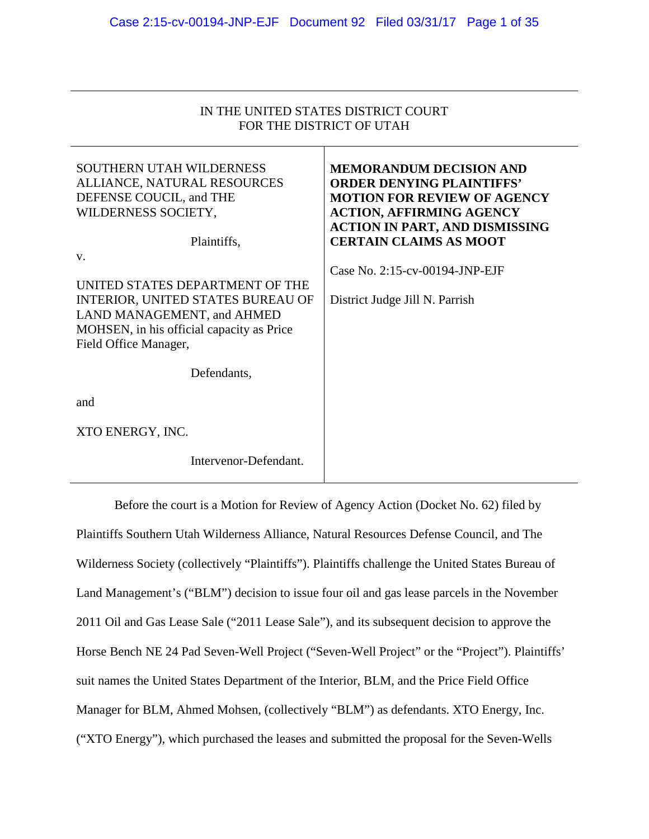| IN THE UNITED STATES DISTRICT COURT |
|-------------------------------------|
| FOR THE DISTRICT OF UTAH            |

| <b>SOUTHERN UTAH WILDERNESS</b><br>ALLIANCE, NATURAL RESOURCES<br>DEFENSE COUCIL, and THE<br>WILDERNESS SOCIETY,                                                                      | <b>MEMORANDUM DECISION AND</b><br><b>ORDER DENYING PLAINTIFFS'</b><br><b>MOTION FOR REVIEW OF AGENCY</b><br><b>ACTION, AFFIRMING AGENCY</b><br><b>ACTION IN PART, AND DISMISSING</b> |
|---------------------------------------------------------------------------------------------------------------------------------------------------------------------------------------|--------------------------------------------------------------------------------------------------------------------------------------------------------------------------------------|
| Plaintiffs,                                                                                                                                                                           | <b>CERTAIN CLAIMS AS MOOT</b>                                                                                                                                                        |
| V.<br>UNITED STATES DEPARTMENT OF THE<br><b>INTERIOR, UNITED STATES BUREAU OF</b><br>LAND MANAGEMENT, and AHMED<br>MOHSEN, in his official capacity as Price<br>Field Office Manager, | Case No. 2:15-cv-00194-JNP-EJF<br>District Judge Jill N. Parrish                                                                                                                     |
| Defendants,                                                                                                                                                                           |                                                                                                                                                                                      |
| and                                                                                                                                                                                   |                                                                                                                                                                                      |
| XTO ENERGY, INC.                                                                                                                                                                      |                                                                                                                                                                                      |
| Intervenor-Defendant.                                                                                                                                                                 |                                                                                                                                                                                      |

Before the court is a Motion for Review of Agency Action (Docket No. 62) filed by Plaintiffs Southern Utah Wilderness Alliance, Natural Resources Defense Council, and The Wilderness Society (collectively "Plaintiffs"). Plaintiffs challenge the United States Bureau of Land Management's ("BLM") decision to issue four oil and gas lease parcels in the November 2011 Oil and Gas Lease Sale ("2011 Lease Sale"), and its subsequent decision to approve the Horse Bench NE 24 Pad Seven-Well Project ("Seven-Well Project" or the "Project"). Plaintiffs' suit names the United States Department of the Interior, BLM, and the Price Field Office Manager for BLM, Ahmed Mohsen, (collectively "BLM") as defendants. XTO Energy, Inc. ("XTO Energy"), which purchased the leases and submitted the proposal for the Seven-Wells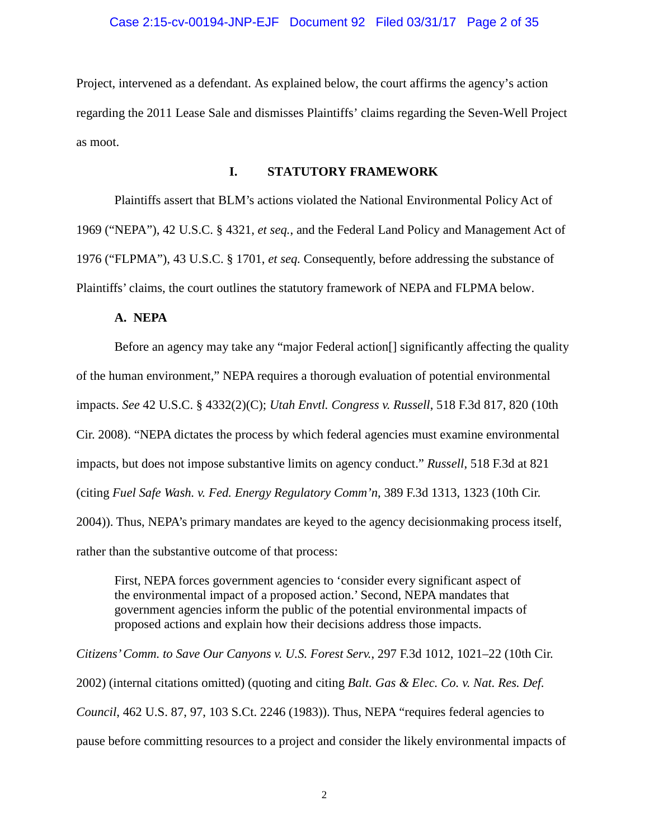# Case 2:15-cv-00194-JNP-EJF Document 92 Filed 03/31/17 Page 2 of 35

Project, intervened as a defendant. As explained below, the court affirms the agency's action regarding the 2011 Lease Sale and dismisses Plaintiffs' claims regarding the Seven-Well Project as moot.

### **I. STATUTORY FRAMEWORK**

Plaintiffs assert that BLM's actions violated the National Environmental Policy Act of 1969 ("NEPA"), 42 U.S.C. § 4321, *et seq.*, and the Federal Land Policy and Management Act of 1976 ("FLPMA"), 43 U.S.C. § 1701, *et seq.* Consequently, before addressing the substance of Plaintiffs' claims, the court outlines the statutory framework of NEPA and FLPMA below.

# **A. NEPA**

Before an agency may take any "major Federal action[] significantly affecting the quality of the human environment," NEPA requires a thorough evaluation of potential environmental impacts. *See* 42 U.S.C. § 4332(2)(C); *Utah Envtl. Congress v. Russell*, 518 F.3d 817, 820 (10th Cir. 2008). "NEPA dictates the process by which federal agencies must examine environmental impacts, but does not impose substantive limits on agency conduct." *Russell*, 518 F.3d at 821 (citing *Fuel Safe Wash. v. Fed. Energy Regulatory Comm'n*, 389 F.3d 1313, 1323 (10th Cir. 2004)). Thus, NEPA's primary mandates are keyed to the agency decisionmaking process itself, rather than the substantive outcome of that process:

First, NEPA forces government agencies to 'consider every significant aspect of the environmental impact of a proposed action.' Second, NEPA mandates that government agencies inform the public of the potential environmental impacts of proposed actions and explain how their decisions address those impacts.

*Citizens' Comm. to Save Our Canyons v. U.S. Forest Serv.*, 297 F.3d 1012, 1021–22 (10th Cir. 2002) (internal citations omitted) (quoting and citing *Balt. Gas & Elec. Co. v. Nat. Res. Def. Council*, 462 U.S. 87, 97, 103 S.Ct. 2246 (1983)). Thus, NEPA "requires federal agencies to pause before committing resources to a project and consider the likely environmental impacts of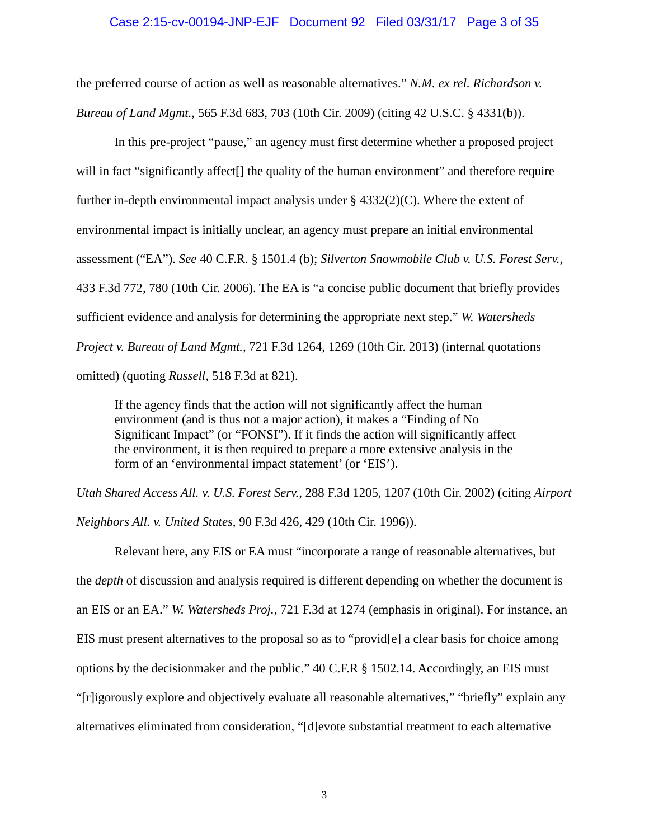# Case 2:15-cv-00194-JNP-EJF Document 92 Filed 03/31/17 Page 3 of 35

the preferred course of action as well as reasonable alternatives." *N.M. ex rel. Richardson v. Bureau of Land Mgmt.*, 565 F.3d 683, 703 (10th Cir. 2009) (citing 42 U.S.C. § 4331(b)).

In this pre-project "pause," an agency must first determine whether a proposed project will in fact "significantly affect<sup>[]</sup> the quality of the human environment" and therefore require further in-depth environmental impact analysis under § 4332(2)(C). Where the extent of environmental impact is initially unclear, an agency must prepare an initial environmental assessment ("EA"). *See* 40 C.F.R. § 1501.4 (b); *Silverton Snowmobile Club v. U.S. Forest Serv.*, 433 F.3d 772, 780 (10th Cir. 2006). The EA is "a concise public document that briefly provides sufficient evidence and analysis for determining the appropriate next step." *W. Watersheds Project v. Bureau of Land Mgmt.*, 721 F.3d 1264, 1269 (10th Cir. 2013) (internal quotations omitted) (quoting *Russell*, 518 F.3d at 821).

If the agency finds that the action will not significantly affect the human environment (and is thus not a major action), it makes a "Finding of No Significant Impact" (or "FONSI"). If it finds the action will significantly affect the environment, it is then required to prepare a more extensive analysis in the form of an 'environmental impact statement' (or 'EIS').

*Utah Shared Access All. v. U.S. Forest Serv.*, 288 F.3d 1205, 1207 (10th Cir. 2002) (citing *Airport Neighbors All. v. United States*, 90 F.3d 426, 429 (10th Cir. 1996)).

Relevant here, any EIS or EA must "incorporate a range of reasonable alternatives, but the *depth* of discussion and analysis required is different depending on whether the document is an EIS or an EA." *W. Watersheds Proj.*, 721 F.3d at 1274 (emphasis in original). For instance, an EIS must present alternatives to the proposal so as to "provid[e] a clear basis for choice among options by the decisionmaker and the public." 40 C.F.R § 1502.14. Accordingly, an EIS must "[r]igorously explore and objectively evaluate all reasonable alternatives," "briefly" explain any alternatives eliminated from consideration, "[d]evote substantial treatment to each alternative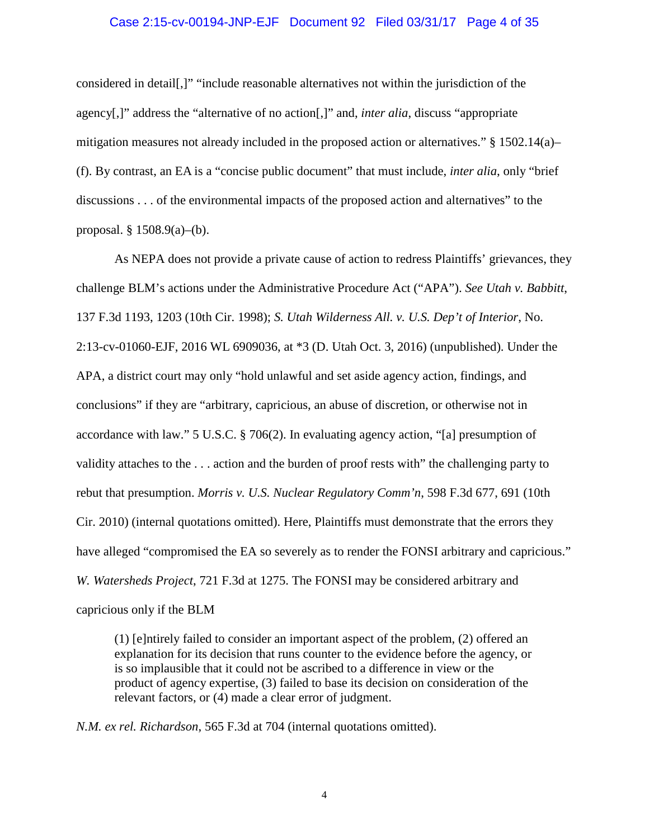#### Case 2:15-cv-00194-JNP-EJF Document 92 Filed 03/31/17 Page 4 of 35

considered in detail[,]" "include reasonable alternatives not within the jurisdiction of the agency[,]" address the "alternative of no action[,]" and, *inter alia*, discuss "appropriate mitigation measures not already included in the proposed action or alternatives."  $\S 1502.14(a)$ (f). By contrast, an EA is a "concise public document" that must include, *inter alia*, only "brief discussions . . . of the environmental impacts of the proposed action and alternatives" to the proposal. § 1508.9(a)–(b).

As NEPA does not provide a private cause of action to redress Plaintiffs' grievances, they challenge BLM's actions under the Administrative Procedure Act ("APA"). *See Utah v. Babbitt*, 137 F.3d 1193, 1203 (10th Cir. 1998); *S. Utah Wilderness All. v. U.S. Dep't of Interior*, No. 2:13-cv-01060-EJF, 2016 WL 6909036, at \*3 (D. Utah Oct. 3, 2016) (unpublished). Under the APA, a district court may only "hold unlawful and set aside agency action, findings, and conclusions" if they are "arbitrary, capricious, an abuse of discretion, or otherwise not in accordance with law." 5 U.S.C. § 706(2). In evaluating agency action, "[a] presumption of validity attaches to the . . . action and the burden of proof rests with" the challenging party to rebut that presumption. *Morris v. U.S. Nuclear Regulatory Comm'n*, 598 F.3d 677, 691 (10th Cir. 2010) (internal quotations omitted). Here, Plaintiffs must demonstrate that the errors they have alleged "compromised the EA so severely as to render the FONSI arbitrary and capricious." *W. Watersheds Project*, 721 F.3d at 1275. The FONSI may be considered arbitrary and capricious only if the BLM

(1) [e]ntirely failed to consider an important aspect of the problem, (2) offered an explanation for its decision that runs counter to the evidence before the agency, or is so implausible that it could not be ascribed to a difference in view or the product of agency expertise, (3) failed to base its decision on consideration of the relevant factors, or (4) made a clear error of judgment.

*N.M. ex rel. Richardson*, 565 F.3d at 704 (internal quotations omitted).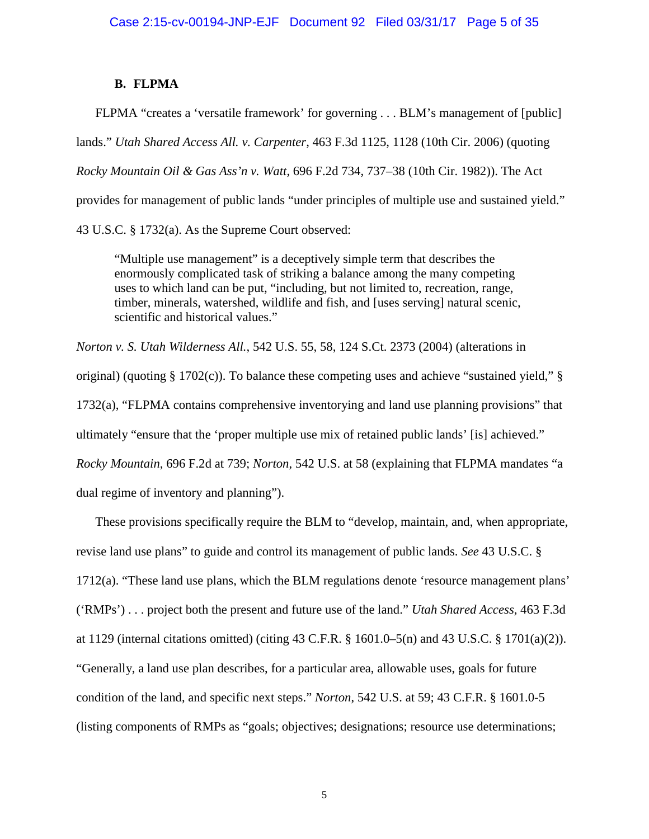# **B. FLPMA**

FLPMA "creates a 'versatile framework' for governing . . . BLM's management of [public]

lands." *Utah Shared Access All. v. Carpenter*, 463 F.3d 1125, 1128 (10th Cir. 2006) (quoting

*Rocky Mountain Oil & Gas Ass'n v. Watt*, 696 F.2d 734, 737–38 (10th Cir. 1982)). The Act

provides for management of public lands "under principles of multiple use and sustained yield."

43 U.S.C. § 1732(a). As the Supreme Court observed:

"Multiple use management" is a deceptively simple term that describes the enormously complicated task of striking a balance among the many competing uses to which land can be put, "including, but not limited to, recreation, range, timber, minerals, watershed, wildlife and fish, and [uses serving] natural scenic, scientific and historical values."

*Norton v. S. Utah Wilderness All.*, 542 U.S. 55, 58, 124 S.Ct. 2373 (2004) (alterations in original) (quoting § 1702(c)). To balance these competing uses and achieve "sustained yield," § 1732(a), "FLPMA contains comprehensive inventorying and land use planning provisions" that ultimately "ensure that the 'proper multiple use mix of retained public lands' [is] achieved." *Rocky Mountain*, 696 F.2d at 739; *Norton*, 542 U.S. at 58 (explaining that FLPMA mandates "a dual regime of inventory and planning").

These provisions specifically require the BLM to "develop, maintain, and, when appropriate, revise land use plans" to guide and control its management of public lands. *See* 43 U.S.C. § 1712(a). "These land use plans, which the BLM regulations denote 'resource management plans' ('RMPs') . . . project both the present and future use of the land." *Utah Shared Access*, 463 F.3d at 1129 (internal citations omitted) (citing 43 C.F.R. § 1601.0–5(n) and 43 U.S.C. § 1701(a)(2)). "Generally, a land use plan describes, for a particular area, allowable uses, goals for future condition of the land, and specific next steps." *Norton*, 542 U.S. at 59; 43 C.F.R. § 1601.0-5 (listing components of RMPs as "goals; objectives; designations; resource use determinations;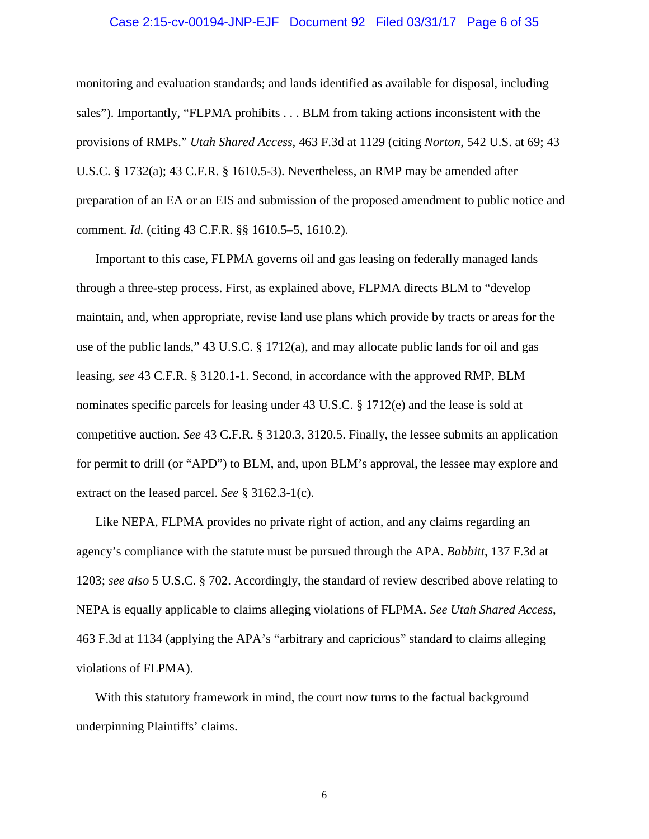# Case 2:15-cv-00194-JNP-EJF Document 92 Filed 03/31/17 Page 6 of 35

monitoring and evaluation standards; and lands identified as available for disposal, including sales"). Importantly, "FLPMA prohibits . . . BLM from taking actions inconsistent with the provisions of RMPs." *Utah Shared Access*, 463 F.3d at 1129 (citing *Norton*, 542 U.S. at 69; 43 U.S.C. § 1732(a); 43 C.F.R. § 1610.5-3). Nevertheless, an RMP may be amended after preparation of an EA or an EIS and submission of the proposed amendment to public notice and comment. *Id.* (citing 43 C.F.R. §§ 1610.5–5, 1610.2).

Important to this case, FLPMA governs oil and gas leasing on federally managed lands through a three-step process. First, as explained above, FLPMA directs BLM to "develop maintain, and, when appropriate, revise land use plans which provide by tracts or areas for the use of the public lands," 43 U.S.C. § 1712(a), and may allocate public lands for oil and gas leasing, *see* 43 C.F.R. § 3120.1-1. Second, in accordance with the approved RMP, BLM nominates specific parcels for leasing under 43 U.S.C. § 1712(e) and the lease is sold at competitive auction. *See* 43 C.F.R. § 3120.3, 3120.5. Finally, the lessee submits an application for permit to drill (or "APD") to BLM, and, upon BLM's approval, the lessee may explore and extract on the leased parcel. *See* § 3162.3-1(c).

Like NEPA, FLPMA provides no private right of action, and any claims regarding an agency's compliance with the statute must be pursued through the APA. *Babbitt*, 137 F.3d at 1203; *see also* 5 U.S.C. § 702. Accordingly, the standard of review described above relating to NEPA is equally applicable to claims alleging violations of FLPMA. *See Utah Shared Access*, 463 F.3d at 1134 (applying the APA's "arbitrary and capricious" standard to claims alleging violations of FLPMA).

With this statutory framework in mind, the court now turns to the factual background underpinning Plaintiffs' claims.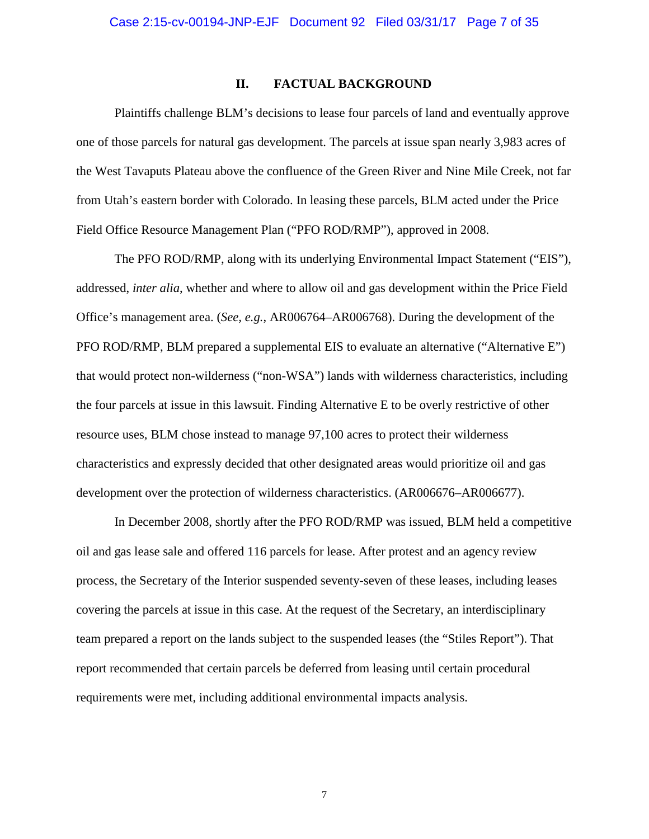# **II. FACTUAL BACKGROUND**

Plaintiffs challenge BLM's decisions to lease four parcels of land and eventually approve one of those parcels for natural gas development. The parcels at issue span nearly 3,983 acres of the West Tavaputs Plateau above the confluence of the Green River and Nine Mile Creek, not far from Utah's eastern border with Colorado. In leasing these parcels, BLM acted under the Price Field Office Resource Management Plan ("PFO ROD/RMP"), approved in 2008.

The PFO ROD/RMP, along with its underlying Environmental Impact Statement ("EIS"), addressed, *inter alia*, whether and where to allow oil and gas development within the Price Field Office's management area. (*See, e.g.*, AR006764–AR006768). During the development of the PFO ROD/RMP, BLM prepared a supplemental EIS to evaluate an alternative ("Alternative E") that would protect non-wilderness ("non-WSA") lands with wilderness characteristics, including the four parcels at issue in this lawsuit. Finding Alternative E to be overly restrictive of other resource uses, BLM chose instead to manage 97,100 acres to protect their wilderness characteristics and expressly decided that other designated areas would prioritize oil and gas development over the protection of wilderness characteristics. (AR006676–AR006677).

In December 2008, shortly after the PFO ROD/RMP was issued, BLM held a competitive oil and gas lease sale and offered 116 parcels for lease. After protest and an agency review process, the Secretary of the Interior suspended seventy-seven of these leases, including leases covering the parcels at issue in this case. At the request of the Secretary, an interdisciplinary team prepared a report on the lands subject to the suspended leases (the "Stiles Report"). That report recommended that certain parcels be deferred from leasing until certain procedural requirements were met, including additional environmental impacts analysis.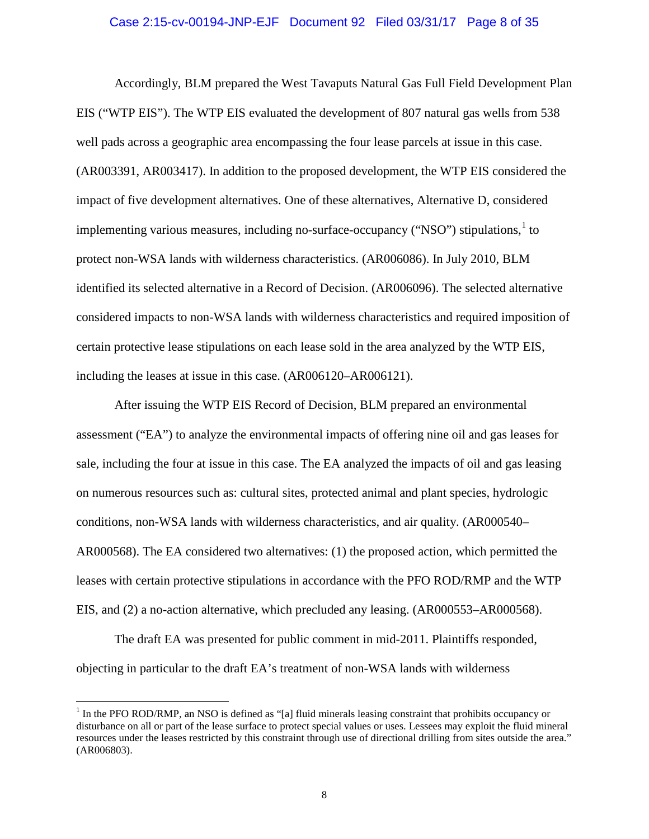### Case 2:15-cv-00194-JNP-EJF Document 92 Filed 03/31/17 Page 8 of 35

Accordingly, BLM prepared the West Tavaputs Natural Gas Full Field Development Plan EIS ("WTP EIS"). The WTP EIS evaluated the development of 807 natural gas wells from 538 well pads across a geographic area encompassing the four lease parcels at issue in this case. (AR003391, AR003417). In addition to the proposed development, the WTP EIS considered the impact of five development alternatives. One of these alternatives, Alternative D, considered implementing various measures, including no-surface-occupancy ("NSO") stipulations, $\frac{1}{1}$  to protect non-WSA lands with wilderness characteristics. (AR006086). In July 2010, BLM identified its selected alternative in a Record of Decision. (AR006096). The selected alternative considered impacts to non-WSA lands with wilderness characteristics and required imposition of certain protective lease stipulations on each lease sold in the area analyzed by the WTP EIS, including the leases at issue in this case. (AR006120–AR006121).

After issuing the WTP EIS Record of Decision, BLM prepared an environmental assessment ("EA") to analyze the environmental impacts of offering nine oil and gas leases for sale, including the four at issue in this case. The EA analyzed the impacts of oil and gas leasing on numerous resources such as: cultural sites, protected animal and plant species, hydrologic conditions, non-WSA lands with wilderness characteristics, and air quality. (AR000540– AR000568). The EA considered two alternatives: (1) the proposed action, which permitted the leases with certain protective stipulations in accordance with the PFO ROD/RMP and the WTP EIS, and (2) a no-action alternative, which precluded any leasing. (AR000553–AR000568).

The draft EA was presented for public comment in mid-2011. Plaintiffs responded, objecting in particular to the draft EA's treatment of non-WSA lands with wilderness

<sup>&</sup>lt;sup>1</sup> In the PFO ROD/RMP, an NSO is defined as "[a] fluid minerals leasing constraint that prohibits occupancy or disturbance on all or part of the lease surface to protect special values or uses. Lessees may exploit the fluid mineral resources under the leases restricted by this constraint through use of directional drilling from sites outside the area." (AR006803).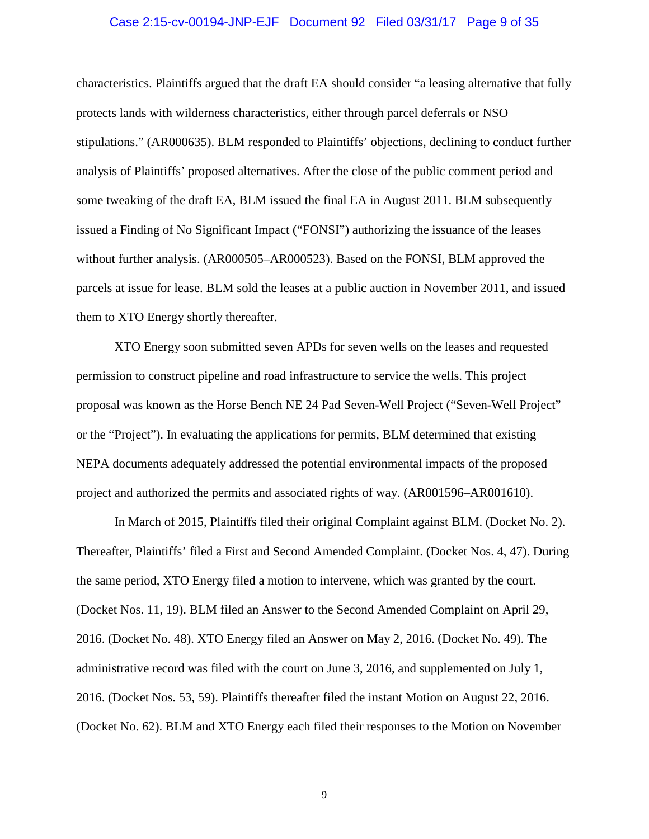# Case 2:15-cv-00194-JNP-EJF Document 92 Filed 03/31/17 Page 9 of 35

characteristics. Plaintiffs argued that the draft EA should consider "a leasing alternative that fully protects lands with wilderness characteristics, either through parcel deferrals or NSO stipulations." (AR000635). BLM responded to Plaintiffs' objections, declining to conduct further analysis of Plaintiffs' proposed alternatives. After the close of the public comment period and some tweaking of the draft EA, BLM issued the final EA in August 2011. BLM subsequently issued a Finding of No Significant Impact ("FONSI") authorizing the issuance of the leases without further analysis. (AR000505–AR000523). Based on the FONSI, BLM approved the parcels at issue for lease. BLM sold the leases at a public auction in November 2011, and issued them to XTO Energy shortly thereafter.

XTO Energy soon submitted seven APDs for seven wells on the leases and requested permission to construct pipeline and road infrastructure to service the wells. This project proposal was known as the Horse Bench NE 24 Pad Seven-Well Project ("Seven-Well Project" or the "Project"). In evaluating the applications for permits, BLM determined that existing NEPA documents adequately addressed the potential environmental impacts of the proposed project and authorized the permits and associated rights of way. (AR001596–AR001610).

In March of 2015, Plaintiffs filed their original Complaint against BLM. (Docket No. 2). Thereafter, Plaintiffs' filed a First and Second Amended Complaint. (Docket Nos. 4, 47). During the same period, XTO Energy filed a motion to intervene, which was granted by the court. (Docket Nos. 11, 19). BLM filed an Answer to the Second Amended Complaint on April 29, 2016. (Docket No. 48). XTO Energy filed an Answer on May 2, 2016. (Docket No. 49). The administrative record was filed with the court on June 3, 2016, and supplemented on July 1, 2016. (Docket Nos. 53, 59). Plaintiffs thereafter filed the instant Motion on August 22, 2016. (Docket No. 62). BLM and XTO Energy each filed their responses to the Motion on November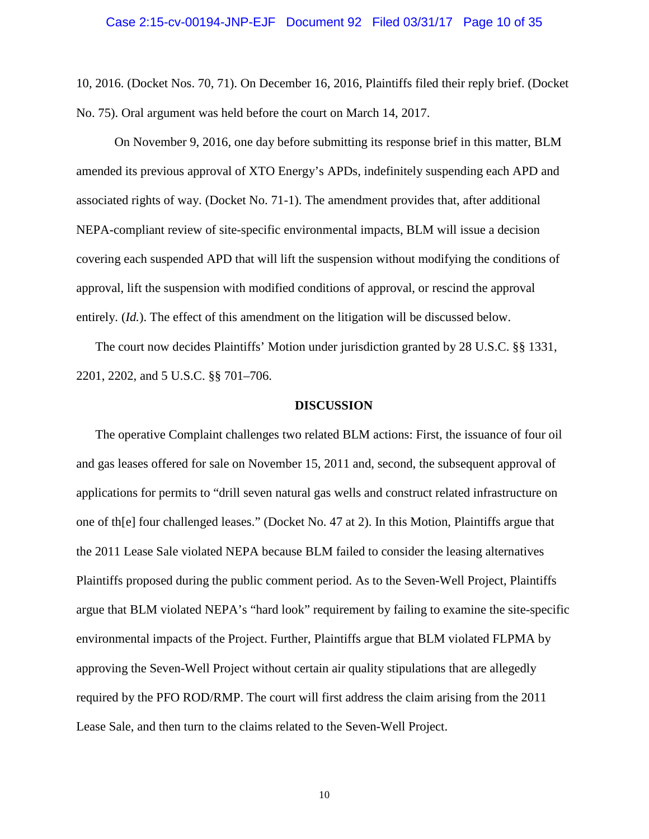# Case 2:15-cv-00194-JNP-EJF Document 92 Filed 03/31/17 Page 10 of 35

10, 2016. (Docket Nos. 70, 71). On December 16, 2016, Plaintiffs filed their reply brief. (Docket No. 75). Oral argument was held before the court on March 14, 2017.

On November 9, 2016, one day before submitting its response brief in this matter, BLM amended its previous approval of XTO Energy's APDs, indefinitely suspending each APD and associated rights of way. (Docket No. 71-1). The amendment provides that, after additional NEPA-compliant review of site-specific environmental impacts, BLM will issue a decision covering each suspended APD that will lift the suspension without modifying the conditions of approval, lift the suspension with modified conditions of approval, or rescind the approval entirely. *(Id.)*. The effect of this amendment on the litigation will be discussed below.

The court now decides Plaintiffs' Motion under jurisdiction granted by 28 U.S.C. §§ 1331, 2201, 2202, and 5 U.S.C. §§ 701–706.

### **DISCUSSION**

The operative Complaint challenges two related BLM actions: First, the issuance of four oil and gas leases offered for sale on November 15, 2011 and, second, the subsequent approval of applications for permits to "drill seven natural gas wells and construct related infrastructure on one of th[e] four challenged leases." (Docket No. 47 at 2). In this Motion, Plaintiffs argue that the 2011 Lease Sale violated NEPA because BLM failed to consider the leasing alternatives Plaintiffs proposed during the public comment period. As to the Seven-Well Project, Plaintiffs argue that BLM violated NEPA's "hard look" requirement by failing to examine the site-specific environmental impacts of the Project. Further, Plaintiffs argue that BLM violated FLPMA by approving the Seven-Well Project without certain air quality stipulations that are allegedly required by the PFO ROD/RMP. The court will first address the claim arising from the 2011 Lease Sale, and then turn to the claims related to the Seven-Well Project.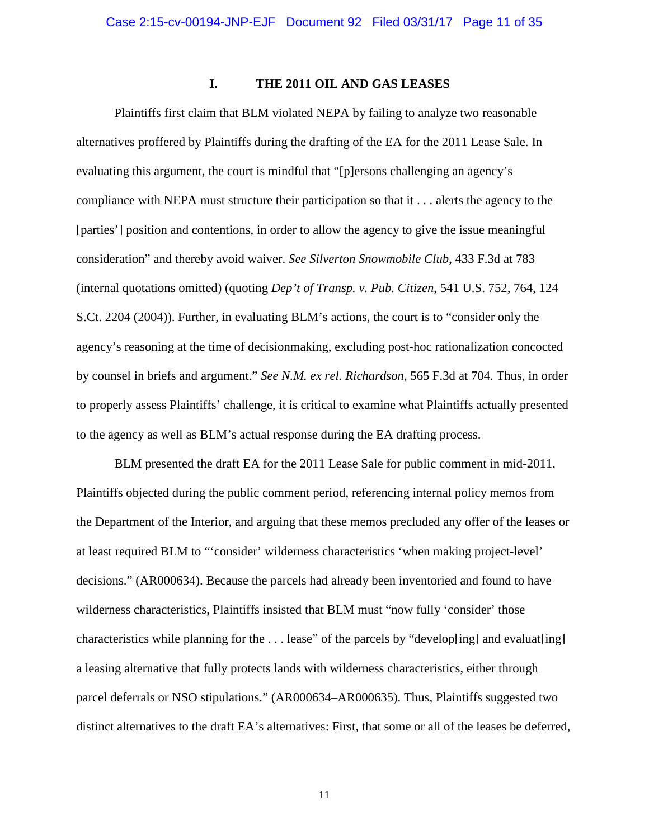# **I. THE 2011 OIL AND GAS LEASES**

Plaintiffs first claim that BLM violated NEPA by failing to analyze two reasonable alternatives proffered by Plaintiffs during the drafting of the EA for the 2011 Lease Sale. In evaluating this argument, the court is mindful that "[p]ersons challenging an agency's compliance with NEPA must structure their participation so that it . . . alerts the agency to the [parties'] position and contentions, in order to allow the agency to give the issue meaningful consideration" and thereby avoid waiver. *See Silverton Snowmobile Club*, 433 F.3d at 783 (internal quotations omitted) (quoting *Dep't of Transp. v. Pub. Citizen*, 541 U.S. 752, 764, 124 S.Ct. 2204 (2004)). Further, in evaluating BLM's actions, the court is to "consider only the agency's reasoning at the time of decisionmaking, excluding post-hoc rationalization concocted by counsel in briefs and argument." *See N.M. ex rel. Richardson*, 565 F.3d at 704. Thus, in order to properly assess Plaintiffs' challenge, it is critical to examine what Plaintiffs actually presented to the agency as well as BLM's actual response during the EA drafting process.

BLM presented the draft EA for the 2011 Lease Sale for public comment in mid-2011. Plaintiffs objected during the public comment period, referencing internal policy memos from the Department of the Interior, and arguing that these memos precluded any offer of the leases or at least required BLM to "'consider' wilderness characteristics 'when making project-level' decisions." (AR000634). Because the parcels had already been inventoried and found to have wilderness characteristics, Plaintiffs insisted that BLM must "now fully 'consider' those characteristics while planning for the  $\dots$  lease" of the parcels by "develop[ing] and evaluat[ing] a leasing alternative that fully protects lands with wilderness characteristics, either through parcel deferrals or NSO stipulations." (AR000634–AR000635). Thus, Plaintiffs suggested two distinct alternatives to the draft EA's alternatives: First, that some or all of the leases be deferred,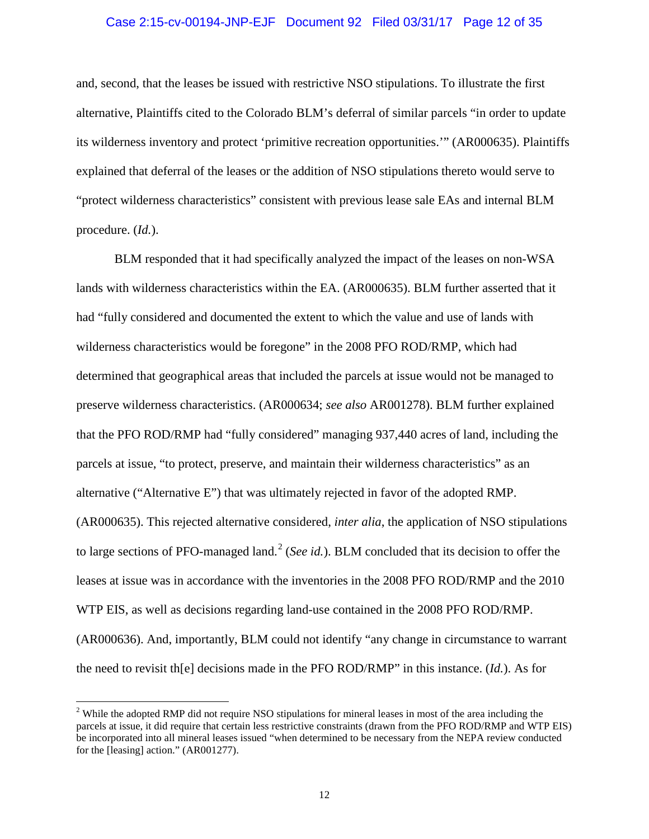# Case 2:15-cv-00194-JNP-EJF Document 92 Filed 03/31/17 Page 12 of 35

and, second, that the leases be issued with restrictive NSO stipulations. To illustrate the first alternative, Plaintiffs cited to the Colorado BLM's deferral of similar parcels "in order to update its wilderness inventory and protect 'primitive recreation opportunities.'" (AR000635). Plaintiffs explained that deferral of the leases or the addition of NSO stipulations thereto would serve to "protect wilderness characteristics" consistent with previous lease sale EAs and internal BLM procedure. (*Id.*).

BLM responded that it had specifically analyzed the impact of the leases on non-WSA lands with wilderness characteristics within the EA. (AR000635). BLM further asserted that it had "fully considered and documented the extent to which the value and use of lands with wilderness characteristics would be foregone" in the 2008 PFO ROD/RMP, which had determined that geographical areas that included the parcels at issue would not be managed to preserve wilderness characteristics. (AR000634; *see also* AR001278). BLM further explained that the PFO ROD/RMP had "fully considered" managing 937,440 acres of land, including the parcels at issue, "to protect, preserve, and maintain their wilderness characteristics" as an alternative ("Alternative E") that was ultimately rejected in favor of the adopted RMP. (AR000635). This rejected alternative considered, *inter alia*, the application of NSO stipulations to large sections of PFO-managed land. <sup>2</sup> (*See id.*). BLM concluded that its decision to offer the leases at issue was in accordance with the inventories in the 2008 PFO ROD/RMP and the 2010 WTP EIS, as well as decisions regarding land-use contained in the 2008 PFO ROD/RMP. (AR000636). And, importantly, BLM could not identify "any change in circumstance to warrant the need to revisit th[e] decisions made in the PFO ROD/RMP" in this instance. (*Id.*). As for

<sup>&</sup>lt;sup>2</sup> While the adopted RMP did not require NSO stipulations for mineral leases in most of the area including the parcels at issue, it did require that certain less restrictive constraints (drawn from the PFO ROD/RMP and WTP EIS) be incorporated into all mineral leases issued "when determined to be necessary from the NEPA review conducted for the [leasing] action." (AR001277).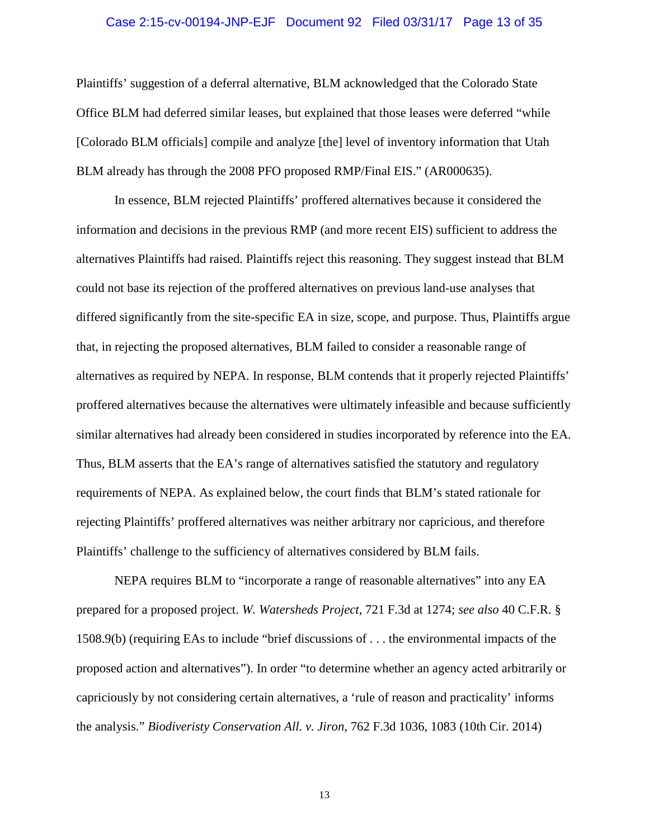# Case 2:15-cv-00194-JNP-EJF Document 92 Filed 03/31/17 Page 13 of 35

Plaintiffs' suggestion of a deferral alternative, BLM acknowledged that the Colorado State Office BLM had deferred similar leases, but explained that those leases were deferred "while [Colorado BLM officials] compile and analyze [the] level of inventory information that Utah BLM already has through the 2008 PFO proposed RMP/Final EIS." (AR000635).

In essence, BLM rejected Plaintiffs' proffered alternatives because it considered the information and decisions in the previous RMP (and more recent EIS) sufficient to address the alternatives Plaintiffs had raised. Plaintiffs reject this reasoning. They suggest instead that BLM could not base its rejection of the proffered alternatives on previous land-use analyses that differed significantly from the site-specific EA in size, scope, and purpose. Thus, Plaintiffs argue that, in rejecting the proposed alternatives, BLM failed to consider a reasonable range of alternatives as required by NEPA. In response, BLM contends that it properly rejected Plaintiffs' proffered alternatives because the alternatives were ultimately infeasible and because sufficiently similar alternatives had already been considered in studies incorporated by reference into the EA. Thus, BLM asserts that the EA's range of alternatives satisfied the statutory and regulatory requirements of NEPA. As explained below, the court finds that BLM's stated rationale for rejecting Plaintiffs' proffered alternatives was neither arbitrary nor capricious, and therefore Plaintiffs' challenge to the sufficiency of alternatives considered by BLM fails.

NEPA requires BLM to "incorporate a range of reasonable alternatives" into any EA prepared for a proposed project. *W. Watersheds Project*, 721 F.3d at 1274; *see also* 40 C.F.R. § 1508.9(b) (requiring EAs to include "brief discussions of . . . the environmental impacts of the proposed action and alternatives"). In order "to determine whether an agency acted arbitrarily or capriciously by not considering certain alternatives, a 'rule of reason and practicality' informs the analysis." *Biodiveristy Conservation All. v. Jiron*, 762 F.3d 1036, 1083 (10th Cir. 2014)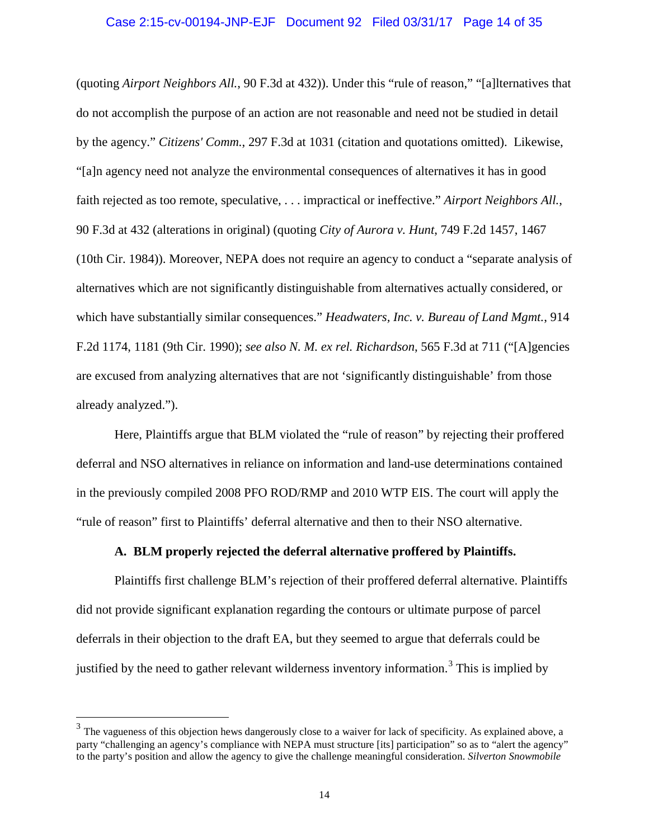# Case 2:15-cv-00194-JNP-EJF Document 92 Filed 03/31/17 Page 14 of 35

(quoting *Airport Neighbors All.*, 90 F.3d at 432)). Under this "rule of reason," "[a]lternatives that do not accomplish the purpose of an action are not reasonable and need not be studied in detail by the agency." *Citizens' Comm.*, 297 F.3d at 1031 (citation and quotations omitted). Likewise, "[a]n agency need not analyze the environmental consequences of alternatives it has in good faith rejected as too remote, speculative, . . . impractical or ineffective." *Airport Neighbors All.*, 90 F.3d at 432 (alterations in original) (quoting *City of Aurora v. Hunt*, 749 F.2d 1457, 1467 (10th Cir. 1984)). Moreover, NEPA does not require an agency to conduct a "separate analysis of alternatives which are not significantly distinguishable from alternatives actually considered, or which have substantially similar consequences." *Headwaters, Inc. v. Bureau of Land Mgmt.*, 914 F.2d 1174, 1181 (9th Cir. 1990); *see also N. M. ex rel. Richardson*, 565 F.3d at 711 ("[A]gencies are excused from analyzing alternatives that are not 'significantly distinguishable' from those already analyzed.").

Here, Plaintiffs argue that BLM violated the "rule of reason" by rejecting their proffered deferral and NSO alternatives in reliance on information and land-use determinations contained in the previously compiled 2008 PFO ROD/RMP and 2010 WTP EIS. The court will apply the "rule of reason" first to Plaintiffs' deferral alternative and then to their NSO alternative.

# **A. BLM properly rejected the deferral alternative proffered by Plaintiffs.**

Plaintiffs first challenge BLM's rejection of their proffered deferral alternative. Plaintiffs did not provide significant explanation regarding the contours or ultimate purpose of parcel deferrals in their objection to the draft EA, but they seemed to argue that deferrals could be justified by the need to gather relevant wilderness inventory information.<sup>3</sup> This is implied by

 $3$  The vagueness of this objection hews dangerously close to a waiver for lack of specificity. As explained above, a party "challenging an agency's compliance with NEPA must structure [its] participation" so as to "alert the agency" to the party's position and allow the agency to give the challenge meaningful consideration. *Silverton Snowmobile*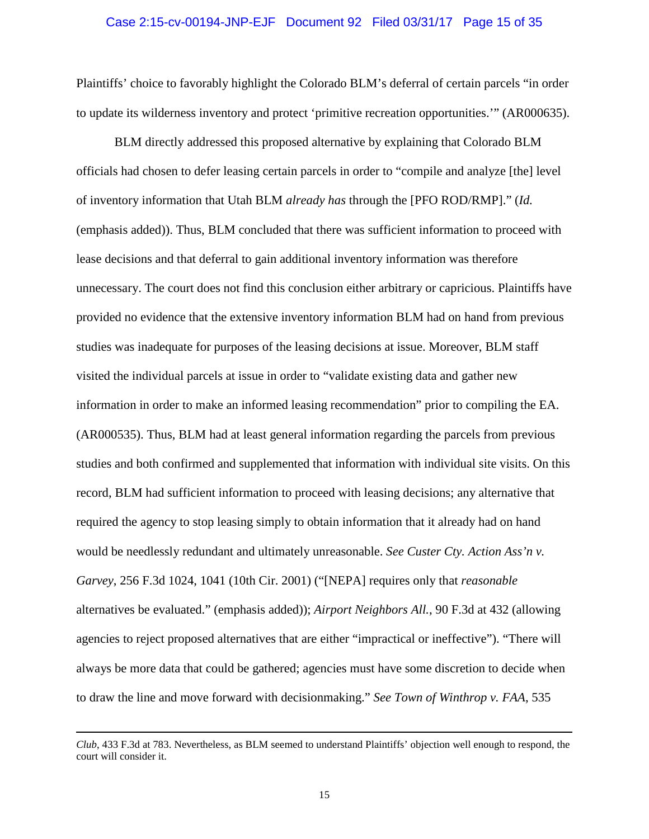# Case 2:15-cv-00194-JNP-EJF Document 92 Filed 03/31/17 Page 15 of 35

Plaintiffs' choice to favorably highlight the Colorado BLM's deferral of certain parcels "in order to update its wilderness inventory and protect 'primitive recreation opportunities.'" (AR000635).

BLM directly addressed this proposed alternative by explaining that Colorado BLM officials had chosen to defer leasing certain parcels in order to "compile and analyze [the] level of inventory information that Utah BLM *already has* through the [PFO ROD/RMP]." (*Id.*  (emphasis added)). Thus, BLM concluded that there was sufficient information to proceed with lease decisions and that deferral to gain additional inventory information was therefore unnecessary. The court does not find this conclusion either arbitrary or capricious. Plaintiffs have provided no evidence that the extensive inventory information BLM had on hand from previous studies was inadequate for purposes of the leasing decisions at issue. Moreover, BLM staff visited the individual parcels at issue in order to "validate existing data and gather new information in order to make an informed leasing recommendation" prior to compiling the EA. (AR000535). Thus, BLM had at least general information regarding the parcels from previous studies and both confirmed and supplemented that information with individual site visits. On this record, BLM had sufficient information to proceed with leasing decisions; any alternative that required the agency to stop leasing simply to obtain information that it already had on hand would be needlessly redundant and ultimately unreasonable. *See Custer Cty. Action Ass'n v. Garvey*, 256 F.3d 1024, 1041 (10th Cir. 2001) ("[NEPA] requires only that *reasonable* alternatives be evaluated." (emphasis added)); *Airport Neighbors All.*, 90 F.3d at 432 (allowing agencies to reject proposed alternatives that are either "impractical or ineffective"). "There will always be more data that could be gathered; agencies must have some discretion to decide when to draw the line and move forward with decisionmaking." *See Town of Winthrop v. FAA*, 535

 $\overline{a}$ 

*Club*, 433 F.3d at 783. Nevertheless, as BLM seemed to understand Plaintiffs' objection well enough to respond, the court will consider it.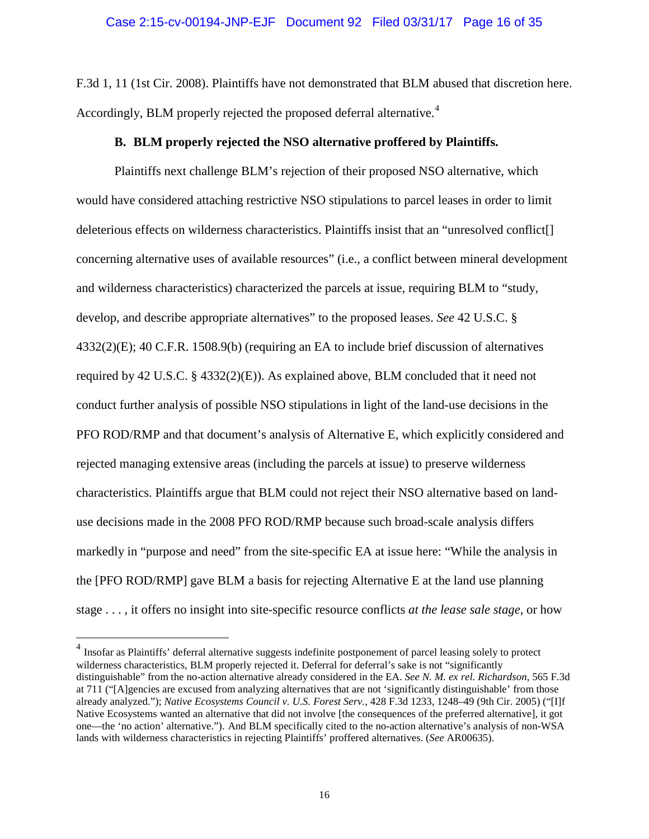F.3d 1, 11 (1st Cir. 2008). Plaintiffs have not demonstrated that BLM abused that discretion here. Accordingly, BLM properly rejected the proposed deferral alternative.<sup>4</sup>

# **B. BLM properly rejected the NSO alternative proffered by Plaintiffs.**

Plaintiffs next challenge BLM's rejection of their proposed NSO alternative, which would have considered attaching restrictive NSO stipulations to parcel leases in order to limit deleterious effects on wilderness characteristics. Plaintiffs insist that an "unresolved conflict[] concerning alternative uses of available resources" (i.e., a conflict between mineral development and wilderness characteristics) characterized the parcels at issue, requiring BLM to "study, develop, and describe appropriate alternatives" to the proposed leases. *See* 42 U.S.C. § 4332(2)(E); 40 C.F.R. 1508.9(b) (requiring an EA to include brief discussion of alternatives required by 42 U.S.C. § 4332(2)(E)). As explained above, BLM concluded that it need not conduct further analysis of possible NSO stipulations in light of the land-use decisions in the PFO ROD/RMP and that document's analysis of Alternative E, which explicitly considered and rejected managing extensive areas (including the parcels at issue) to preserve wilderness characteristics. Plaintiffs argue that BLM could not reject their NSO alternative based on landuse decisions made in the 2008 PFO ROD/RMP because such broad-scale analysis differs markedly in "purpose and need" from the site-specific EA at issue here: "While the analysis in the [PFO ROD/RMP] gave BLM a basis for rejecting Alternative E at the land use planning stage . . . , it offers no insight into site-specific resource conflicts *at the lease sale stage*, or how

<sup>&</sup>lt;sup>4</sup> Insofar as Plaintiffs' deferral alternative suggests indefinite postponement of parcel leasing solely to protect wilderness characteristics, BLM properly rejected it. Deferral for deferral's sake is not "significantly distinguishable" from the no-action alternative already considered in the EA. *See N. M. ex rel. Richardson*, 565 F.3d at 711 ("[A]gencies are excused from analyzing alternatives that are not 'significantly distinguishable' from those already analyzed."); *Native Ecosystems Council v. U.S. Forest Serv.*, 428 F.3d 1233, 1248–49 (9th Cir. 2005) ("[I]f Native Ecosystems wanted an alternative that did not involve [the consequences of the preferred alternative], it got one—the 'no action' alternative."). And BLM specifically cited to the no-action alternative's analysis of non-WSA lands with wilderness characteristics in rejecting Plaintiffs' proffered alternatives. (*See* AR00635).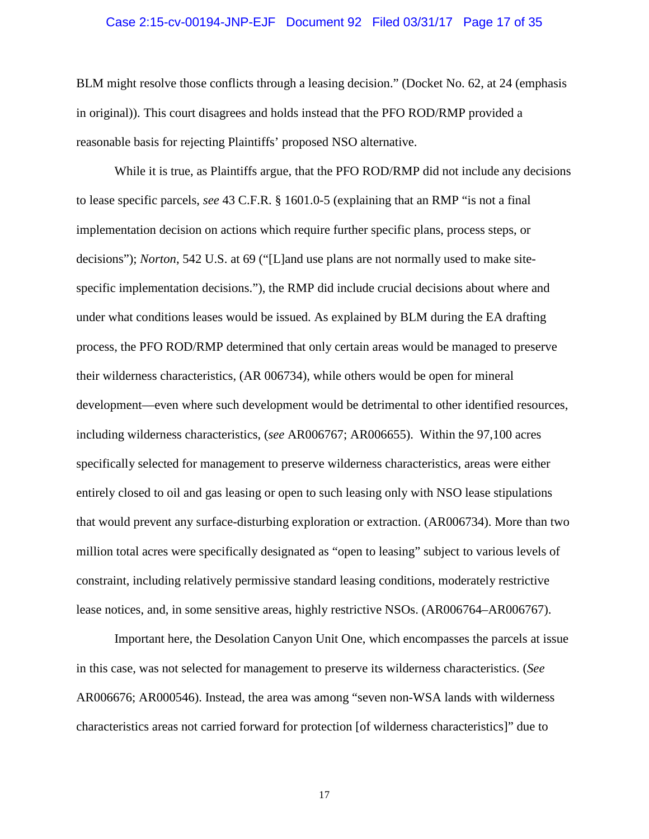# Case 2:15-cv-00194-JNP-EJF Document 92 Filed 03/31/17 Page 17 of 35

BLM might resolve those conflicts through a leasing decision." (Docket No. 62, at 24 (emphasis in original)). This court disagrees and holds instead that the PFO ROD/RMP provided a reasonable basis for rejecting Plaintiffs' proposed NSO alternative.

While it is true, as Plaintiffs argue, that the PFO ROD/RMP did not include any decisions to lease specific parcels, *see* 43 C.F.R. § 1601.0-5 (explaining that an RMP "is not a final implementation decision on actions which require further specific plans, process steps, or decisions"); *Norton*, 542 U.S. at 69 ("[L]and use plans are not normally used to make sitespecific implementation decisions."), the RMP did include crucial decisions about where and under what conditions leases would be issued. As explained by BLM during the EA drafting process, the PFO ROD/RMP determined that only certain areas would be managed to preserve their wilderness characteristics, (AR 006734), while others would be open for mineral development—even where such development would be detrimental to other identified resources, including wilderness characteristics, (*see* AR006767; AR006655). Within the 97,100 acres specifically selected for management to preserve wilderness characteristics, areas were either entirely closed to oil and gas leasing or open to such leasing only with NSO lease stipulations that would prevent any surface-disturbing exploration or extraction. (AR006734). More than two million total acres were specifically designated as "open to leasing" subject to various levels of constraint, including relatively permissive standard leasing conditions, moderately restrictive lease notices, and, in some sensitive areas, highly restrictive NSOs. (AR006764–AR006767).

Important here, the Desolation Canyon Unit One, which encompasses the parcels at issue in this case, was not selected for management to preserve its wilderness characteristics. (*See*  AR006676; AR000546). Instead, the area was among "seven non-WSA lands with wilderness characteristics areas not carried forward for protection [of wilderness characteristics]" due to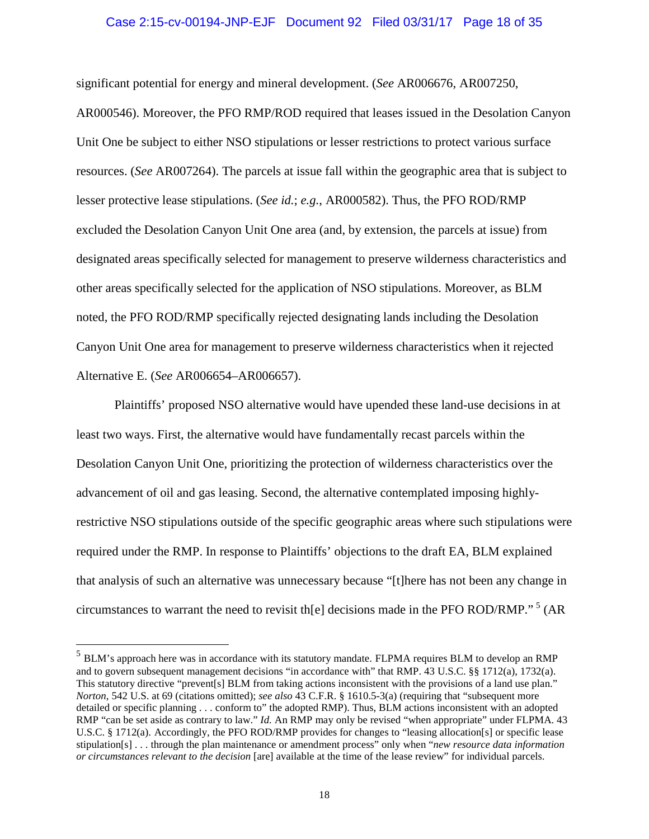# Case 2:15-cv-00194-JNP-EJF Document 92 Filed 03/31/17 Page 18 of 35

significant potential for energy and mineral development. (*See* AR006676, AR007250, AR000546). Moreover, the PFO RMP/ROD required that leases issued in the Desolation Canyon Unit One be subject to either NSO stipulations or lesser restrictions to protect various surface resources. (*See* AR007264). The parcels at issue fall within the geographic area that is subject to lesser protective lease stipulations. (*See id.*; *e.g.*, AR000582). Thus, the PFO ROD/RMP excluded the Desolation Canyon Unit One area (and, by extension, the parcels at issue) from designated areas specifically selected for management to preserve wilderness characteristics and other areas specifically selected for the application of NSO stipulations. Moreover, as BLM noted, the PFO ROD/RMP specifically rejected designating lands including the Desolation Canyon Unit One area for management to preserve wilderness characteristics when it rejected Alternative E. (*See* AR006654–AR006657).

Plaintiffs' proposed NSO alternative would have upended these land-use decisions in at least two ways. First, the alternative would have fundamentally recast parcels within the Desolation Canyon Unit One, prioritizing the protection of wilderness characteristics over the advancement of oil and gas leasing. Second, the alternative contemplated imposing highlyrestrictive NSO stipulations outside of the specific geographic areas where such stipulations were required under the RMP. In response to Plaintiffs' objections to the draft EA, BLM explained that analysis of such an alternative was unnecessary because "[t]here has not been any change in circumstances to warrant the need to revisit the electrons made in the PFO ROD/RMP."<sup>5</sup> (AR

 <sup>5</sup> BLM's approach here was in accordance with its statutory mandate. FLPMA requires BLM to develop an RMP and to govern subsequent management decisions "in accordance with" that RMP. 43 U.S.C. §§ 1712(a), 1732(a). This statutory directive "prevent[s] BLM from taking actions inconsistent with the provisions of a land use plan." *Norton*, 542 U.S. at 69 (citations omitted); *see also* 43 C.F.R. § 1610.5-3(a) (requiring that "subsequent more detailed or specific planning . . . conform to" the adopted RMP). Thus, BLM actions inconsistent with an adopted RMP "can be set aside as contrary to law." *Id.* An RMP may only be revised "when appropriate" under FLPMA. 43 U.S.C. § 1712(a). Accordingly, the PFO ROD/RMP provides for changes to "leasing allocation[s] or specific lease stipulation[s] . . . through the plan maintenance or amendment process" only when "*new resource data information or circumstances relevant to the decision* [are] available at the time of the lease review" for individual parcels.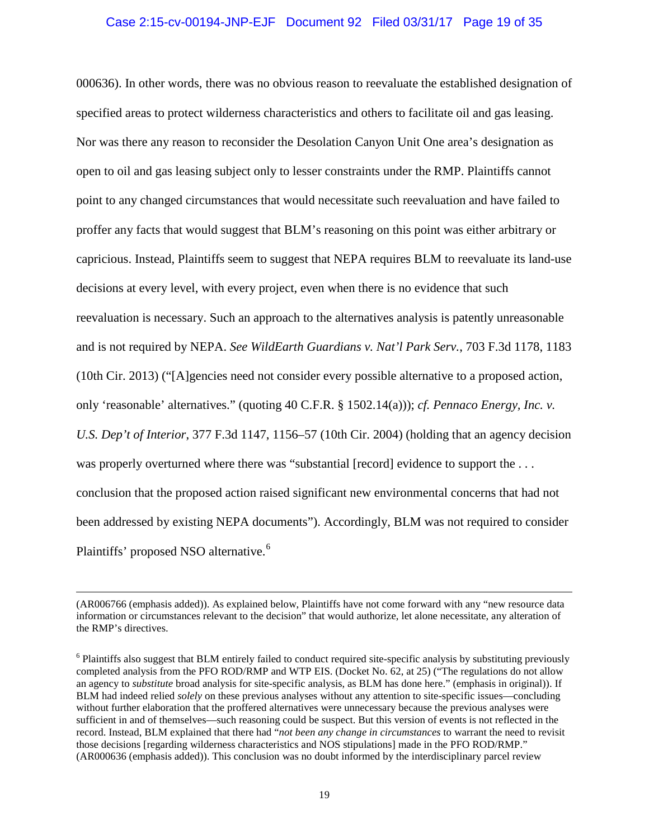# Case 2:15-cv-00194-JNP-EJF Document 92 Filed 03/31/17 Page 19 of 35

000636). In other words, there was no obvious reason to reevaluate the established designation of specified areas to protect wilderness characteristics and others to facilitate oil and gas leasing. Nor was there any reason to reconsider the Desolation Canyon Unit One area's designation as open to oil and gas leasing subject only to lesser constraints under the RMP. Plaintiffs cannot point to any changed circumstances that would necessitate such reevaluation and have failed to proffer any facts that would suggest that BLM's reasoning on this point was either arbitrary or capricious. Instead, Plaintiffs seem to suggest that NEPA requires BLM to reevaluate its land-use decisions at every level, with every project, even when there is no evidence that such reevaluation is necessary. Such an approach to the alternatives analysis is patently unreasonable and is not required by NEPA. *See WildEarth Guardians v. Nat'l Park Serv.*, 703 F.3d 1178, 1183 (10th Cir. 2013) ("[A]gencies need not consider every possible alternative to a proposed action, only 'reasonable' alternatives." (quoting 40 C.F.R. § 1502.14(a))); *cf. Pennaco Energy, Inc. v. U.S. Dep't of Interior*, 377 F.3d 1147, 1156–57 (10th Cir. 2004) (holding that an agency decision was properly overturned where there was "substantial [record] evidence to support the ... conclusion that the proposed action raised significant new environmental concerns that had not been addressed by existing NEPA documents"). Accordingly, BLM was not required to consider Plaintiffs' proposed NSO alternative.<sup>6</sup>

 <sup>(</sup>AR006766 (emphasis added)). As explained below, Plaintiffs have not come forward with any "new resource data information or circumstances relevant to the decision" that would authorize, let alone necessitate, any alteration of the RMP's directives.

<sup>&</sup>lt;sup>6</sup> Plaintiffs also suggest that BLM entirely failed to conduct required site-specific analysis by substituting previously completed analysis from the PFO ROD/RMP and WTP EIS. (Docket No. 62, at 25) ("The regulations do not allow an agency to *substitute* broad analysis for site-specific analysis, as BLM has done here." (emphasis in original)). If BLM had indeed relied *solely* on these previous analyses without any attention to site-specific issues—concluding without further elaboration that the proffered alternatives were unnecessary because the previous analyses were sufficient in and of themselves—such reasoning could be suspect. But this version of events is not reflected in the record. Instead, BLM explained that there had "*not been any change in circumstances* to warrant the need to revisit those decisions [regarding wilderness characteristics and NOS stipulations] made in the PFO ROD/RMP." (AR000636 (emphasis added)). This conclusion was no doubt informed by the interdisciplinary parcel review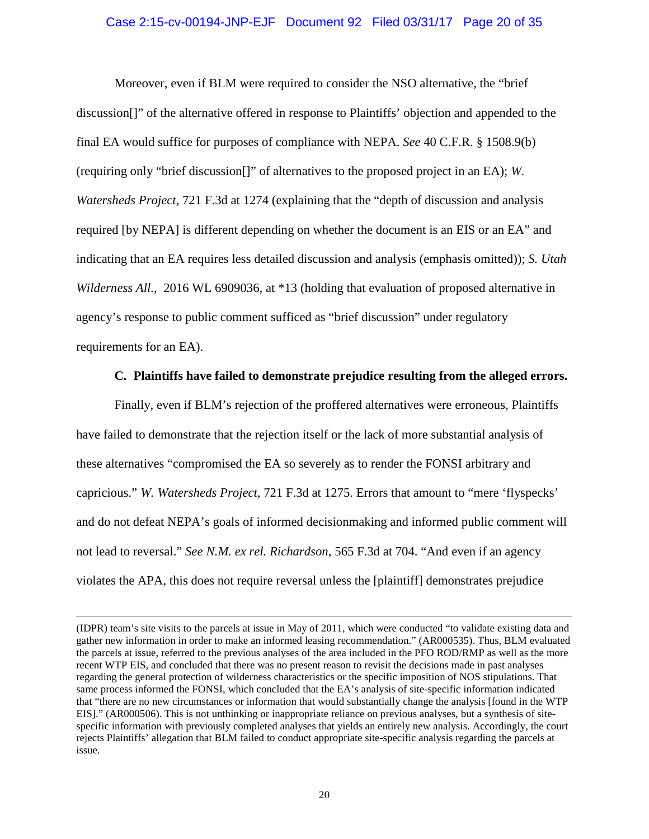# Case 2:15-cv-00194-JNP-EJF Document 92 Filed 03/31/17 Page 20 of 35

Moreover, even if BLM were required to consider the NSO alternative, the "brief discussion[]" of the alternative offered in response to Plaintiffs' objection and appended to the final EA would suffice for purposes of compliance with NEPA. *See* 40 C.F.R. § 1508.9(b) (requiring only "brief discussion[]" of alternatives to the proposed project in an EA); *W. Watersheds Project*, 721 F.3d at 1274 (explaining that the "depth of discussion and analysis required [by NEPA] is different depending on whether the document is an EIS or an EA" and indicating that an EA requires less detailed discussion and analysis (emphasis omitted)); *S. Utah Wilderness All.*, 2016 WL 6909036, at \*13 (holding that evaluation of proposed alternative in agency's response to public comment sufficed as "brief discussion" under regulatory requirements for an EA).

# **C. Plaintiffs have failed to demonstrate prejudice resulting from the alleged errors.**

Finally, even if BLM's rejection of the proffered alternatives were erroneous, Plaintiffs have failed to demonstrate that the rejection itself or the lack of more substantial analysis of these alternatives "compromised the EA so severely as to render the FONSI arbitrary and capricious." *W. Watersheds Project*, 721 F.3d at 1275. Errors that amount to "mere 'flyspecks' and do not defeat NEPA's goals of informed decisionmaking and informed public comment will not lead to reversal." *See N.M. ex rel. Richardson*, 565 F.3d at 704. "And even if an agency violates the APA, this does not require reversal unless the [plaintiff] demonstrates prejudice

 $\overline{a}$ 

<sup>(</sup>IDPR) team's site visits to the parcels at issue in May of 2011, which were conducted "to validate existing data and gather new information in order to make an informed leasing recommendation." (AR000535). Thus, BLM evaluated the parcels at issue, referred to the previous analyses of the area included in the PFO ROD/RMP as well as the more recent WTP EIS, and concluded that there was no present reason to revisit the decisions made in past analyses regarding the general protection of wilderness characteristics or the specific imposition of NOS stipulations. That same process informed the FONSI, which concluded that the EA's analysis of site-specific information indicated that "there are no new circumstances or information that would substantially change the analysis [found in the WTP EIS]." (AR000506). This is not unthinking or inappropriate reliance on previous analyses, but a synthesis of sitespecific information with previously completed analyses that yields an entirely new analysis. Accordingly, the court rejects Plaintiffs' allegation that BLM failed to conduct appropriate site-specific analysis regarding the parcels at issue.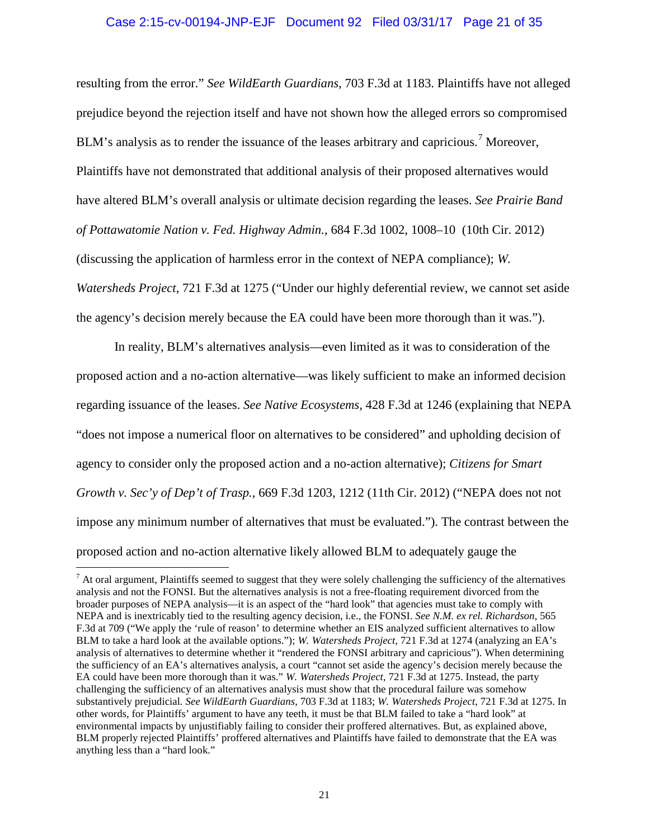# Case 2:15-cv-00194-JNP-EJF Document 92 Filed 03/31/17 Page 21 of 35

resulting from the error." *See WildEarth Guardians*, 703 F.3d at 1183. Plaintiffs have not alleged prejudice beyond the rejection itself and have not shown how the alleged errors so compromised BLM's analysis as to render the issuance of the leases arbitrary and capricious.<sup>7</sup> Moreover, Plaintiffs have not demonstrated that additional analysis of their proposed alternatives would have altered BLM's overall analysis or ultimate decision regarding the leases. *See Prairie Band of Pottawatomie Nation v. Fed. Highway Admin.*, 684 F.3d 1002, 1008–10 (10th Cir. 2012) (discussing the application of harmless error in the context of NEPA compliance); *W. Watersheds Project*, 721 F.3d at 1275 ("Under our highly deferential review, we cannot set aside the agency's decision merely because the EA could have been more thorough than it was.").

In reality, BLM's alternatives analysis—even limited as it was to consideration of the proposed action and a no-action alternative—was likely sufficient to make an informed decision regarding issuance of the leases. *See Native Ecosystems*, 428 F.3d at 1246 (explaining that NEPA "does not impose a numerical floor on alternatives to be considered" and upholding decision of agency to consider only the proposed action and a no-action alternative); *Citizens for Smart Growth v. Sec'y of Dep't of Trasp.*, 669 F.3d 1203, 1212 (11th Cir. 2012) ("NEPA does not not impose any minimum number of alternatives that must be evaluated."). The contrast between the proposed action and no-action alternative likely allowed BLM to adequately gauge the

 $<sup>7</sup>$  At oral argument, Plaintiffs seemed to suggest that they were solely challenging the sufficiency of the alternatives</sup> analysis and not the FONSI. But the alternatives analysis is not a free-floating requirement divorced from the broader purposes of NEPA analysis—it is an aspect of the "hard look" that agencies must take to comply with NEPA and is inextricably tied to the resulting agency decision, i.e., the FONSI. *See N.M. ex rel. Richardson*, 565 F.3d at 709 ("We apply the 'rule of reason' to determine whether an EIS analyzed sufficient alternatives to allow BLM to take a hard look at the available options."); *W. Watersheds Project*, 721 F.3d at 1274 (analyzing an EA's analysis of alternatives to determine whether it "rendered the FONSI arbitrary and capricious"). When determining the sufficiency of an EA's alternatives analysis, a court "cannot set aside the agency's decision merely because the EA could have been more thorough than it was." *W. Watersheds Project*, 721 F.3d at 1275. Instead, the party challenging the sufficiency of an alternatives analysis must show that the procedural failure was somehow substantively prejudicial*. See WildEarth Guardians*, 703 F.3d at 1183; *W. Watersheds Project*, 721 F.3d at 1275. In other words, for Plaintiffs' argument to have any teeth, it must be that BLM failed to take a "hard look" at environmental impacts by unjustifiably failing to consider their proffered alternatives. But, as explained above, BLM properly rejected Plaintiffs' proffered alternatives and Plaintiffs have failed to demonstrate that the EA was anything less than a "hard look."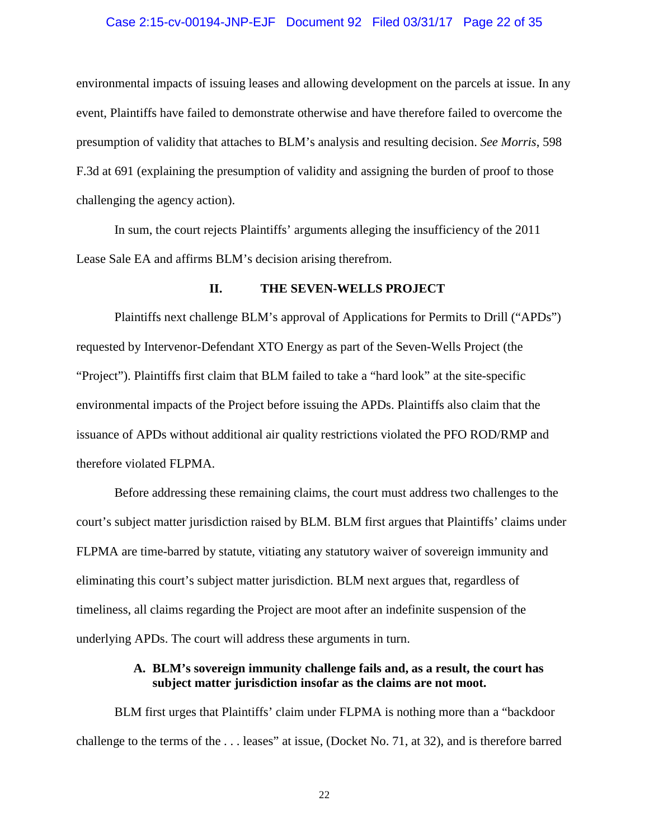#### Case 2:15-cv-00194-JNP-EJF Document 92 Filed 03/31/17 Page 22 of 35

environmental impacts of issuing leases and allowing development on the parcels at issue. In any event, Plaintiffs have failed to demonstrate otherwise and have therefore failed to overcome the presumption of validity that attaches to BLM's analysis and resulting decision. *See Morris*, 598 F.3d at 691 (explaining the presumption of validity and assigning the burden of proof to those challenging the agency action).

In sum, the court rejects Plaintiffs' arguments alleging the insufficiency of the 2011 Lease Sale EA and affirms BLM's decision arising therefrom.

### **II. THE SEVEN-WELLS PROJECT**

Plaintiffs next challenge BLM's approval of Applications for Permits to Drill ("APDs") requested by Intervenor-Defendant XTO Energy as part of the Seven-Wells Project (the "Project"). Plaintiffs first claim that BLM failed to take a "hard look" at the site-specific environmental impacts of the Project before issuing the APDs. Plaintiffs also claim that the issuance of APDs without additional air quality restrictions violated the PFO ROD/RMP and therefore violated FLPMA.

Before addressing these remaining claims, the court must address two challenges to the court's subject matter jurisdiction raised by BLM. BLM first argues that Plaintiffs' claims under FLPMA are time-barred by statute, vitiating any statutory waiver of sovereign immunity and eliminating this court's subject matter jurisdiction. BLM next argues that, regardless of timeliness, all claims regarding the Project are moot after an indefinite suspension of the underlying APDs. The court will address these arguments in turn.

# **A. BLM's sovereign immunity challenge fails and, as a result, the court has subject matter jurisdiction insofar as the claims are not moot.**

BLM first urges that Plaintiffs' claim under FLPMA is nothing more than a "backdoor challenge to the terms of the . . . leases" at issue, (Docket No. 71, at 32), and is therefore barred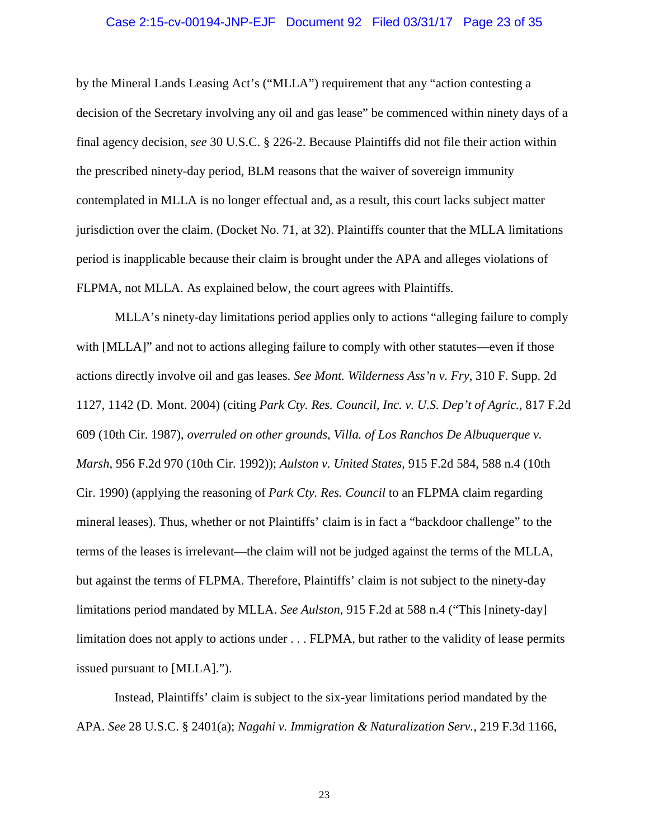# Case 2:15-cv-00194-JNP-EJF Document 92 Filed 03/31/17 Page 23 of 35

by the Mineral Lands Leasing Act's ("MLLA") requirement that any "action contesting a decision of the Secretary involving any oil and gas lease" be commenced within ninety days of a final agency decision, *see* 30 U.S.C. § 226-2. Because Plaintiffs did not file their action within the prescribed ninety-day period, BLM reasons that the waiver of sovereign immunity contemplated in MLLA is no longer effectual and, as a result, this court lacks subject matter jurisdiction over the claim. (Docket No. 71, at 32). Plaintiffs counter that the MLLA limitations period is inapplicable because their claim is brought under the APA and alleges violations of FLPMA, not MLLA. As explained below, the court agrees with Plaintiffs.

MLLA's ninety-day limitations period applies only to actions "alleging failure to comply with [MLLA]" and not to actions alleging failure to comply with other statutes—even if those actions directly involve oil and gas leases. *See Mont. Wilderness Ass'n v. Fry*, 310 F. Supp. 2d 1127, 1142 (D. Mont. 2004) (citing *Park Cty. Res. Council, Inc. v. U.S. Dep't of Agric.*, 817 F.2d 609 (10th Cir. 1987), *overruled on other grounds*, *Villa. of Los Ranchos De Albuquerque v. Marsh*, 956 F.2d 970 (10th Cir. 1992)); *Aulston v. United States*, 915 F.2d 584, 588 n.4 (10th Cir. 1990) (applying the reasoning of *Park Cty. Res. Council* to an FLPMA claim regarding mineral leases). Thus, whether or not Plaintiffs' claim is in fact a "backdoor challenge" to the terms of the leases is irrelevant—the claim will not be judged against the terms of the MLLA, but against the terms of FLPMA. Therefore, Plaintiffs' claim is not subject to the ninety-day limitations period mandated by MLLA. *See Aulston*, 915 F.2d at 588 n.4 ("This [ninety-day] limitation does not apply to actions under . . . FLPMA, but rather to the validity of lease permits issued pursuant to [MLLA].").

Instead, Plaintiffs' claim is subject to the six-year limitations period mandated by the APA. *See* 28 U.S.C. § 2401(a); *Nagahi v. Immigration & Naturalization Serv.*, 219 F.3d 1166,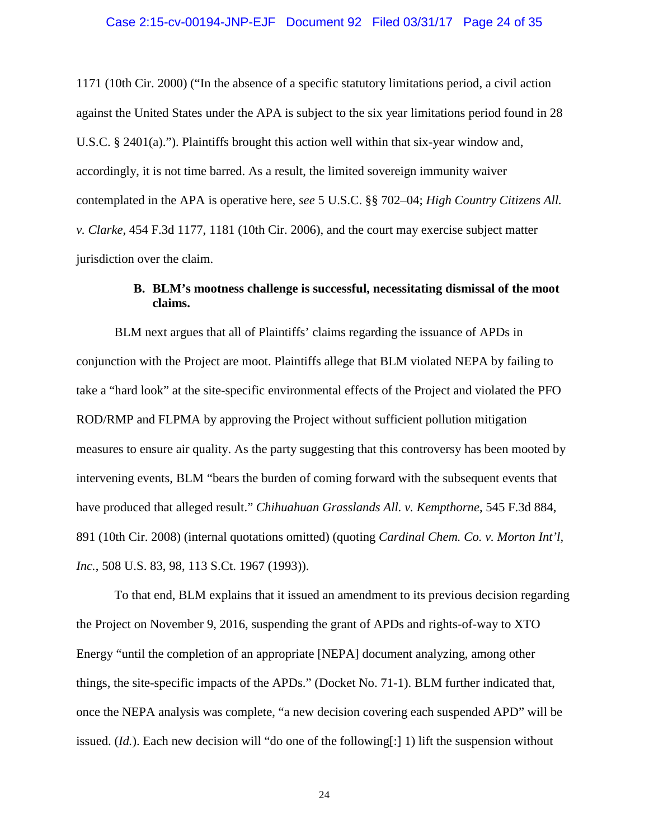# Case 2:15-cv-00194-JNP-EJF Document 92 Filed 03/31/17 Page 24 of 35

1171 (10th Cir. 2000) ("In the absence of a specific statutory limitations period, a civil action against the United States under the APA is subject to the six year limitations period found in 28 U.S.C. § 2401(a)."). Plaintiffs brought this action well within that six-year window and, accordingly, it is not time barred. As a result, the limited sovereign immunity waiver contemplated in the APA is operative here, *see* 5 U.S.C. §§ 702–04; *High Country Citizens All. v. Clarke*, 454 F.3d 1177, 1181 (10th Cir. 2006), and the court may exercise subject matter jurisdiction over the claim.

# **B. BLM's mootness challenge is successful, necessitating dismissal of the moot claims.**

BLM next argues that all of Plaintiffs' claims regarding the issuance of APDs in conjunction with the Project are moot. Plaintiffs allege that BLM violated NEPA by failing to take a "hard look" at the site-specific environmental effects of the Project and violated the PFO ROD/RMP and FLPMA by approving the Project without sufficient pollution mitigation measures to ensure air quality. As the party suggesting that this controversy has been mooted by intervening events, BLM "bears the burden of coming forward with the subsequent events that have produced that alleged result." *Chihuahuan Grasslands All. v. Kempthorne*, 545 F.3d 884, 891 (10th Cir. 2008) (internal quotations omitted) (quoting *Cardinal Chem. Co. v. Morton Int'l, Inc.*, 508 U.S. 83, 98, 113 S.Ct. 1967 (1993)).

To that end, BLM explains that it issued an amendment to its previous decision regarding the Project on November 9, 2016, suspending the grant of APDs and rights-of-way to XTO Energy "until the completion of an appropriate [NEPA] document analyzing, among other things, the site-specific impacts of the APDs." (Docket No. 71-1). BLM further indicated that, once the NEPA analysis was complete, "a new decision covering each suspended APD" will be issued.  $(Id.)$ . Each new decision will "do one of the following[:] 1) lift the suspension without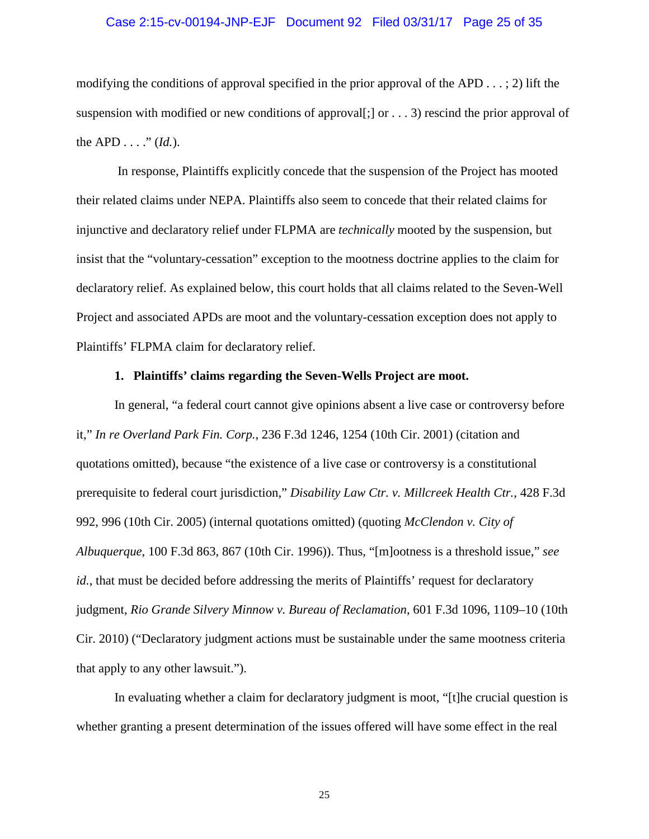# Case 2:15-cv-00194-JNP-EJF Document 92 Filed 03/31/17 Page 25 of 35

modifying the conditions of approval specified in the prior approval of the APD  $\dots$ ; 2) lift the suspension with modified or new conditions of approval[;] or  $\dots$  3) rescind the prior approval of the APD  $\dots$  "  $(Id.)$ .

In response, Plaintiffs explicitly concede that the suspension of the Project has mooted their related claims under NEPA. Plaintiffs also seem to concede that their related claims for injunctive and declaratory relief under FLPMA are *technically* mooted by the suspension, but insist that the "voluntary-cessation" exception to the mootness doctrine applies to the claim for declaratory relief. As explained below, this court holds that all claims related to the Seven-Well Project and associated APDs are moot and the voluntary-cessation exception does not apply to Plaintiffs' FLPMA claim for declaratory relief.

# **1. Plaintiffs' claims regarding the Seven-Wells Project are moot.**

In general, "a federal court cannot give opinions absent a live case or controversy before it," *In re Overland Park Fin. Corp.*, 236 F.3d 1246, 1254 (10th Cir. 2001) (citation and quotations omitted), because "the existence of a live case or controversy is a constitutional prerequisite to federal court jurisdiction," *Disability Law Ctr. v. Millcreek Health Ctr.*, 428 F.3d 992, 996 (10th Cir. 2005) (internal quotations omitted) (quoting *McClendon v. City of Albuquerque*, 100 F.3d 863, 867 (10th Cir. 1996)). Thus, "[m]ootness is a threshold issue," *see id.*, that must be decided before addressing the merits of Plaintiffs' request for declaratory judgment, *Rio Grande Silvery Minnow v. Bureau of Reclamation*, 601 F.3d 1096, 1109–10 (10th Cir. 2010) ("Declaratory judgment actions must be sustainable under the same mootness criteria that apply to any other lawsuit.").

In evaluating whether a claim for declaratory judgment is moot, "[t]he crucial question is whether granting a present determination of the issues offered will have some effect in the real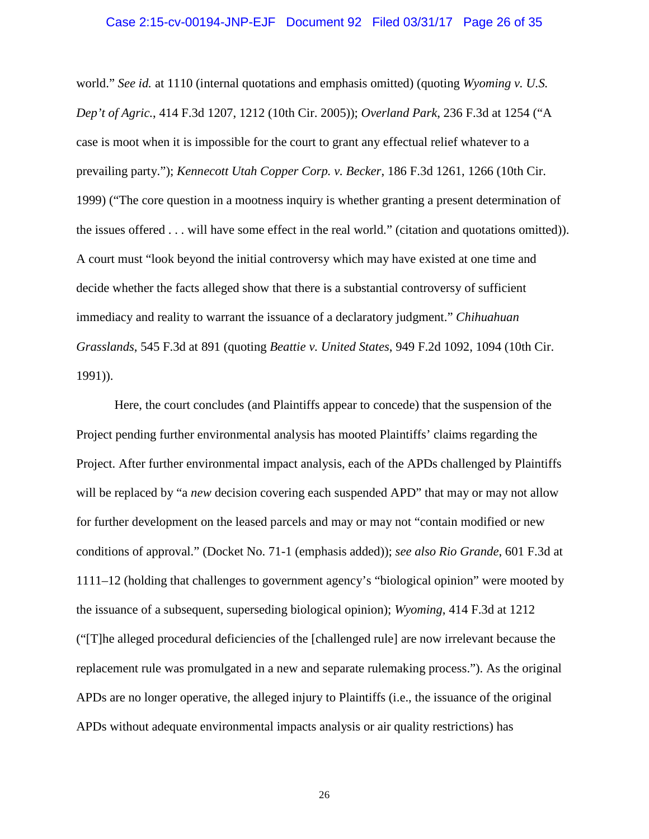# Case 2:15-cv-00194-JNP-EJF Document 92 Filed 03/31/17 Page 26 of 35

world." *See id.* at 1110 (internal quotations and emphasis omitted) (quoting *Wyoming v. U.S. Dep't of Agric.*, 414 F.3d 1207, 1212 (10th Cir. 2005)); *Overland Park*, 236 F.3d at 1254 ("A case is moot when it is impossible for the court to grant any effectual relief whatever to a prevailing party."); *Kennecott Utah Copper Corp. v. Becker*, 186 F.3d 1261, 1266 (10th Cir. 1999) ("The core question in a mootness inquiry is whether granting a present determination of the issues offered . . . will have some effect in the real world." (citation and quotations omitted)). A court must "look beyond the initial controversy which may have existed at one time and decide whether the facts alleged show that there is a substantial controversy of sufficient immediacy and reality to warrant the issuance of a declaratory judgment." *Chihuahuan Grasslands*, 545 F.3d at 891 (quoting *Beattie v. United States*, 949 F.2d 1092, 1094 (10th Cir. 1991)).

Here, the court concludes (and Plaintiffs appear to concede) that the suspension of the Project pending further environmental analysis has mooted Plaintiffs' claims regarding the Project. After further environmental impact analysis, each of the APDs challenged by Plaintiffs will be replaced by "a *new* decision covering each suspended APD" that may or may not allow for further development on the leased parcels and may or may not "contain modified or new conditions of approval." (Docket No. 71-1 (emphasis added)); *see also Rio Grande*, 601 F.3d at 1111–12 (holding that challenges to government agency's "biological opinion" were mooted by the issuance of a subsequent, superseding biological opinion); *Wyoming*, 414 F.3d at 1212 ("[T]he alleged procedural deficiencies of the [challenged rule] are now irrelevant because the replacement rule was promulgated in a new and separate rulemaking process."). As the original APDs are no longer operative, the alleged injury to Plaintiffs (i.e., the issuance of the original APDs without adequate environmental impacts analysis or air quality restrictions) has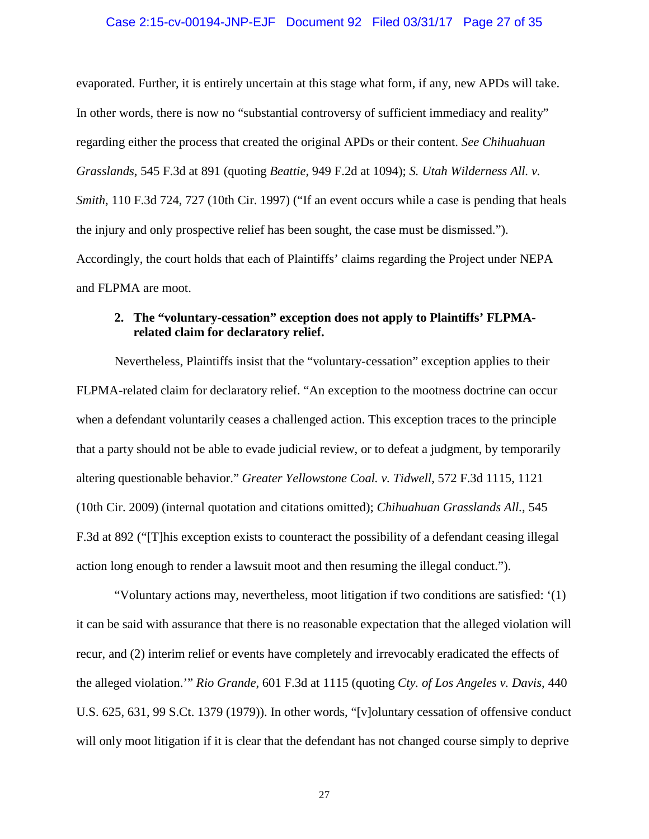# Case 2:15-cv-00194-JNP-EJF Document 92 Filed 03/31/17 Page 27 of 35

evaporated. Further, it is entirely uncertain at this stage what form, if any, new APDs will take. In other words, there is now no "substantial controversy of sufficient immediacy and reality" regarding either the process that created the original APDs or their content. *See Chihuahuan Grasslands*, 545 F.3d at 891 (quoting *Beattie*, 949 F.2d at 1094); *S. Utah Wilderness All. v. Smith*, 110 F.3d 724, 727 (10th Cir. 1997) ("If an event occurs while a case is pending that heals the injury and only prospective relief has been sought, the case must be dismissed."). Accordingly, the court holds that each of Plaintiffs' claims regarding the Project under NEPA and FLPMA are moot.

# **2. The "voluntary-cessation" exception does not apply to Plaintiffs' FLPMArelated claim for declaratory relief.**

Nevertheless, Plaintiffs insist that the "voluntary-cessation" exception applies to their FLPMA-related claim for declaratory relief. "An exception to the mootness doctrine can occur when a defendant voluntarily ceases a challenged action. This exception traces to the principle that a party should not be able to evade judicial review, or to defeat a judgment, by temporarily altering questionable behavior." *Greater Yellowstone Coal. v. Tidwell*, 572 F.3d 1115, 1121 (10th Cir. 2009) (internal quotation and citations omitted); *Chihuahuan Grasslands All.*, 545 F.3d at 892 ("[T]his exception exists to counteract the possibility of a defendant ceasing illegal action long enough to render a lawsuit moot and then resuming the illegal conduct.").

"Voluntary actions may, nevertheless, moot litigation if two conditions are satisfied: '(1) it can be said with assurance that there is no reasonable expectation that the alleged violation will recur, and (2) interim relief or events have completely and irrevocably eradicated the effects of the alleged violation.'" *Rio Grande*, 601 F.3d at 1115 (quoting *Cty. of Los Angeles v. Davis*, 440 U.S. 625, 631, 99 S.Ct. 1379 (1979)). In other words, "[v]oluntary cessation of offensive conduct will only moot litigation if it is clear that the defendant has not changed course simply to deprive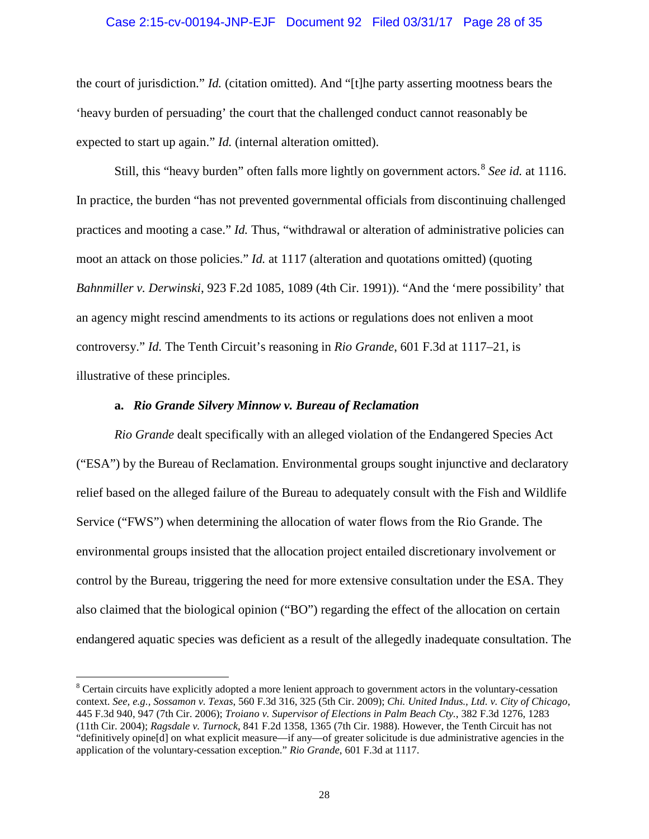### Case 2:15-cv-00194-JNP-EJF Document 92 Filed 03/31/17 Page 28 of 35

the court of jurisdiction." *Id.* (citation omitted). And "[t]he party asserting mootness bears the 'heavy burden of persuading' the court that the challenged conduct cannot reasonably be expected to start up again." *Id.* (internal alteration omitted).

Still, this "heavy burden" often falls more lightly on government actors.<sup>8</sup> *See id.* at 1116. In practice, the burden "has not prevented governmental officials from discontinuing challenged practices and mooting a case." *Id.* Thus, "withdrawal or alteration of administrative policies can moot an attack on those policies." *Id.* at 1117 (alteration and quotations omitted) (quoting *Bahnmiller v. Derwinski*, 923 F.2d 1085, 1089 (4th Cir. 1991)). "And the 'mere possibility' that an agency might rescind amendments to its actions or regulations does not enliven a moot controversy." *Id.* The Tenth Circuit's reasoning in *Rio Grande*, 601 F.3d at 1117–21, is illustrative of these principles.

# **a.** *Rio Grande Silvery Minnow v. Bureau of Reclamation*

*Rio Grande* dealt specifically with an alleged violation of the Endangered Species Act ("ESA") by the Bureau of Reclamation. Environmental groups sought injunctive and declaratory relief based on the alleged failure of the Bureau to adequately consult with the Fish and Wildlife Service ("FWS") when determining the allocation of water flows from the Rio Grande. The environmental groups insisted that the allocation project entailed discretionary involvement or control by the Bureau, triggering the need for more extensive consultation under the ESA. They also claimed that the biological opinion ("BO") regarding the effect of the allocation on certain endangered aquatic species was deficient as a result of the allegedly inadequate consultation. The

<sup>&</sup>lt;sup>8</sup> Certain circuits have explicitly adopted a more lenient approach to government actors in the voluntary-cessation context. *See, e.g., Sossamon v. Texas*, 560 F.3d 316, 325 (5th Cir. 2009); *Chi. United Indus., Ltd. v. City of Chicago*, 445 F.3d 940, 947 (7th Cir. 2006); *Troiano v. Supervisor of Elections in Palm Beach Cty.*, 382 F.3d 1276, 1283 (11th Cir. 2004); *Ragsdale v. Turnock*, 841 F.2d 1358, 1365 (7th Cir. 1988). However, the Tenth Circuit has not "definitively opine[d] on what explicit measure—if any—of greater solicitude is due administrative agencies in the application of the voluntary-cessation exception." *Rio Grande*, 601 F.3d at 1117.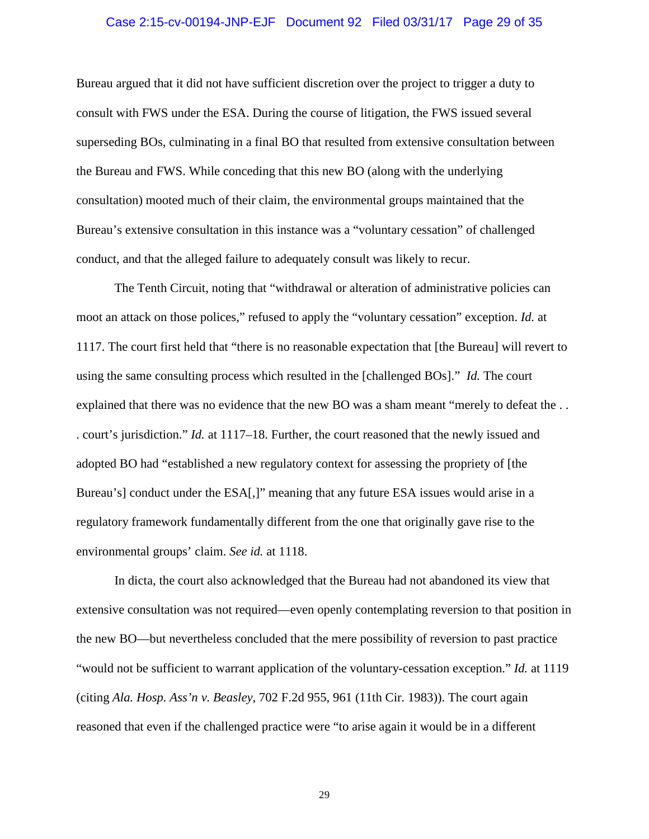# Case 2:15-cv-00194-JNP-EJF Document 92 Filed 03/31/17 Page 29 of 35

Bureau argued that it did not have sufficient discretion over the project to trigger a duty to consult with FWS under the ESA. During the course of litigation, the FWS issued several superseding BOs, culminating in a final BO that resulted from extensive consultation between the Bureau and FWS. While conceding that this new BO (along with the underlying consultation) mooted much of their claim, the environmental groups maintained that the Bureau's extensive consultation in this instance was a "voluntary cessation" of challenged conduct, and that the alleged failure to adequately consult was likely to recur.

The Tenth Circuit, noting that "withdrawal or alteration of administrative policies can moot an attack on those polices," refused to apply the "voluntary cessation" exception. *Id.* at 1117. The court first held that "there is no reasonable expectation that [the Bureau] will revert to using the same consulting process which resulted in the [challenged BOs]." *Id.* The court explained that there was no evidence that the new BO was a sham meant "merely to defeat the ... . court's jurisdiction." *Id.* at 1117–18. Further, the court reasoned that the newly issued and adopted BO had "established a new regulatory context for assessing the propriety of [the Bureau's] conduct under the ESA[,]" meaning that any future ESA issues would arise in a regulatory framework fundamentally different from the one that originally gave rise to the environmental groups' claim. *See id.* at 1118.

In dicta, the court also acknowledged that the Bureau had not abandoned its view that extensive consultation was not required—even openly contemplating reversion to that position in the new BO—but nevertheless concluded that the mere possibility of reversion to past practice "would not be sufficient to warrant application of the voluntary-cessation exception." *Id.* at 1119 (citing *Ala. Hosp. Ass'n v. Beasley*, 702 F.2d 955, 961 (11th Cir. 1983)). The court again reasoned that even if the challenged practice were "to arise again it would be in a different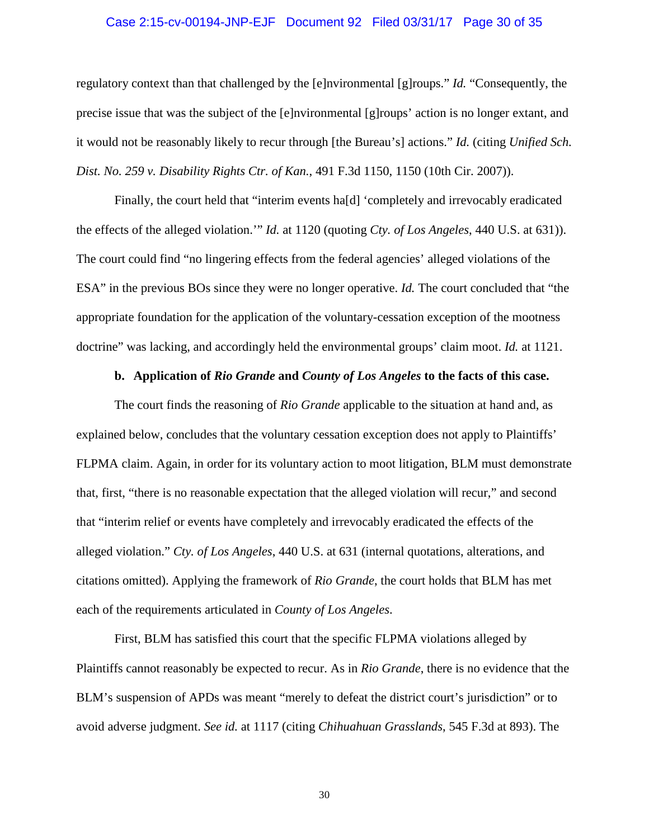# Case 2:15-cv-00194-JNP-EJF Document 92 Filed 03/31/17 Page 30 of 35

regulatory context than that challenged by the [e]nvironmental [g]roups." *Id.* "Consequently, the precise issue that was the subject of the [e]nvironmental [g]roups' action is no longer extant, and it would not be reasonably likely to recur through [the Bureau's] actions." *Id.* (citing *Unified Sch. Dist. No. 259 v. Disability Rights Ctr. of Kan.*, 491 F.3d 1150, 1150 (10th Cir. 2007)).

Finally, the court held that "interim events ha[d] 'completely and irrevocably eradicated the effects of the alleged violation.'" *Id.* at 1120 (quoting *Cty. of Los Angeles*, 440 U.S. at 631)). The court could find "no lingering effects from the federal agencies' alleged violations of the ESA" in the previous BOs since they were no longer operative. *Id.* The court concluded that "the appropriate foundation for the application of the voluntary-cessation exception of the mootness doctrine" was lacking, and accordingly held the environmental groups' claim moot. *Id.* at 1121.

# **b. Application of** *Rio Grande* **and** *County of Los Angeles* **to the facts of this case.**

The court finds the reasoning of *Rio Grande* applicable to the situation at hand and, as explained below, concludes that the voluntary cessation exception does not apply to Plaintiffs' FLPMA claim. Again, in order for its voluntary action to moot litigation, BLM must demonstrate that, first, "there is no reasonable expectation that the alleged violation will recur," and second that "interim relief or events have completely and irrevocably eradicated the effects of the alleged violation." *Cty. of Los Angeles*, 440 U.S. at 631 (internal quotations, alterations, and citations omitted). Applying the framework of *Rio Grande*, the court holds that BLM has met each of the requirements articulated in *County of Los Angeles*.

First, BLM has satisfied this court that the specific FLPMA violations alleged by Plaintiffs cannot reasonably be expected to recur. As in *Rio Grande*, there is no evidence that the BLM's suspension of APDs was meant "merely to defeat the district court's jurisdiction" or to avoid adverse judgment. *See id.* at 1117 (citing *Chihuahuan Grasslands*, 545 F.3d at 893). The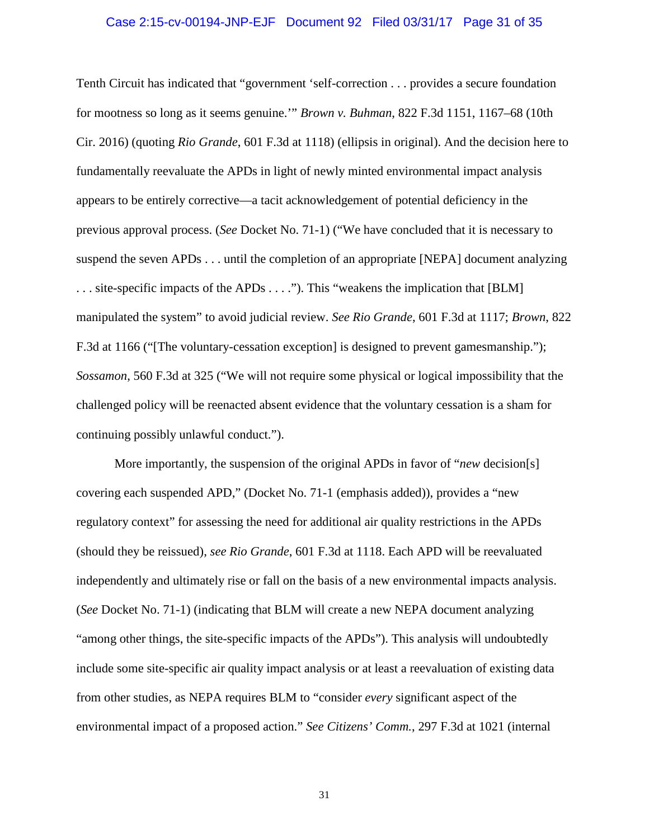# Case 2:15-cv-00194-JNP-EJF Document 92 Filed 03/31/17 Page 31 of 35

Tenth Circuit has indicated that "government 'self-correction . . . provides a secure foundation for mootness so long as it seems genuine.'" *Brown v. Buhman*, 822 F.3d 1151, 1167–68 (10th Cir. 2016) (quoting *Rio Grande*, 601 F.3d at 1118) (ellipsis in original). And the decision here to fundamentally reevaluate the APDs in light of newly minted environmental impact analysis appears to be entirely corrective—a tacit acknowledgement of potential deficiency in the previous approval process. (*See* Docket No. 71-1) ("We have concluded that it is necessary to suspend the seven APDs . . . until the completion of an appropriate [NEPA] document analyzing . . . site-specific impacts of the APDs . . . ."). This "weakens the implication that [BLM] manipulated the system" to avoid judicial review. *See Rio Grande*, 601 F.3d at 1117; *Brown*, 822 F.3d at 1166 ("[The voluntary-cessation exception] is designed to prevent gamesmanship."); *Sossamon*, 560 F.3d at 325 ("We will not require some physical or logical impossibility that the challenged policy will be reenacted absent evidence that the voluntary cessation is a sham for continuing possibly unlawful conduct.").

More importantly, the suspension of the original APDs in favor of "*new* decision[s] covering each suspended APD," (Docket No. 71-1 (emphasis added)), provides a "new regulatory context" for assessing the need for additional air quality restrictions in the APDs (should they be reissued), *see Rio Grande*, 601 F.3d at 1118. Each APD will be reevaluated independently and ultimately rise or fall on the basis of a new environmental impacts analysis. (*See* Docket No. 71-1) (indicating that BLM will create a new NEPA document analyzing "among other things, the site-specific impacts of the APDs"). This analysis will undoubtedly include some site-specific air quality impact analysis or at least a reevaluation of existing data from other studies, as NEPA requires BLM to "consider *every* significant aspect of the environmental impact of a proposed action." *See Citizens' Comm.*, 297 F.3d at 1021 (internal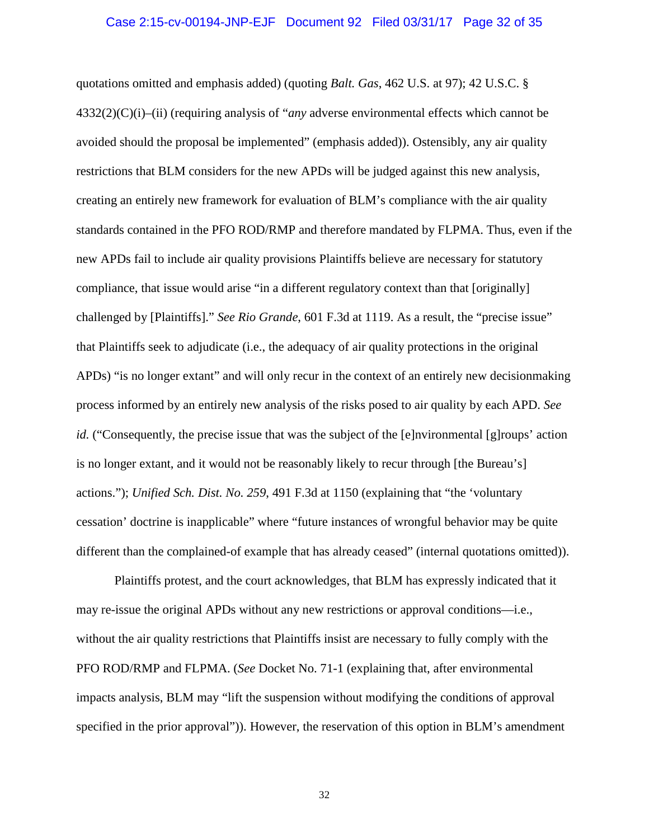# Case 2:15-cv-00194-JNP-EJF Document 92 Filed 03/31/17 Page 32 of 35

quotations omitted and emphasis added) (quoting *Balt. Gas*, 462 U.S. at 97); 42 U.S.C. § 4332(2)(C)(i)–(ii) (requiring analysis of "*any* adverse environmental effects which cannot be avoided should the proposal be implemented" (emphasis added)). Ostensibly, any air quality restrictions that BLM considers for the new APDs will be judged against this new analysis, creating an entirely new framework for evaluation of BLM's compliance with the air quality standards contained in the PFO ROD/RMP and therefore mandated by FLPMA. Thus, even if the new APDs fail to include air quality provisions Plaintiffs believe are necessary for statutory compliance, that issue would arise "in a different regulatory context than that [originally] challenged by [Plaintiffs]." *See Rio Grande*, 601 F.3d at 1119. As a result, the "precise issue" that Plaintiffs seek to adjudicate (i.e., the adequacy of air quality protections in the original APDs) "is no longer extant" and will only recur in the context of an entirely new decisionmaking process informed by an entirely new analysis of the risks posed to air quality by each APD. *See id.* ("Consequently, the precise issue that was the subject of the [e]nvironmental [g]roups' action is no longer extant, and it would not be reasonably likely to recur through [the Bureau's] actions."); *Unified Sch. Dist. No. 259*, 491 F.3d at 1150 (explaining that "the 'voluntary cessation' doctrine is inapplicable" where "future instances of wrongful behavior may be quite different than the complained-of example that has already ceased" (internal quotations omitted)).

Plaintiffs protest, and the court acknowledges, that BLM has expressly indicated that it may re-issue the original APDs without any new restrictions or approval conditions—i.e., without the air quality restrictions that Plaintiffs insist are necessary to fully comply with the PFO ROD/RMP and FLPMA. (*See* Docket No. 71-1 (explaining that, after environmental impacts analysis, BLM may "lift the suspension without modifying the conditions of approval specified in the prior approval")). However, the reservation of this option in BLM's amendment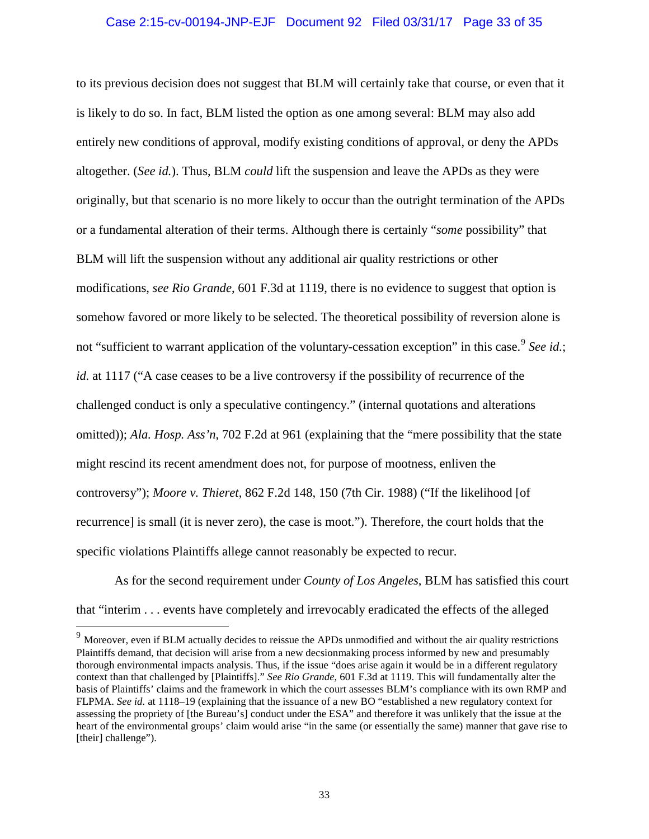# Case 2:15-cv-00194-JNP-EJF Document 92 Filed 03/31/17 Page 33 of 35

to its previous decision does not suggest that BLM will certainly take that course, or even that it is likely to do so. In fact, BLM listed the option as one among several: BLM may also add entirely new conditions of approval, modify existing conditions of approval, or deny the APDs altogether. (*See id.*). Thus, BLM *could* lift the suspension and leave the APDs as they were originally, but that scenario is no more likely to occur than the outright termination of the APDs or a fundamental alteration of their terms. Although there is certainly "*some* possibility" that BLM will lift the suspension without any additional air quality restrictions or other modifications, *see Rio Grande*, 601 F.3d at 1119, there is no evidence to suggest that option is somehow favored or more likely to be selected. The theoretical possibility of reversion alone is not "sufficient to warrant application of the voluntary-cessation exception" in this case.<sup>9</sup> See id.; *id.* at 1117 ("A case ceases to be a live controversy if the possibility of recurrence of the challenged conduct is only a speculative contingency." (internal quotations and alterations omitted)); *Ala. Hosp. Ass'n*, 702 F.2d at 961 (explaining that the "mere possibility that the state might rescind its recent amendment does not, for purpose of mootness, enliven the controversy"); *Moore v. Thieret*, 862 F.2d 148, 150 (7th Cir. 1988) ("If the likelihood [of recurrence] is small (it is never zero), the case is moot."). Therefore, the court holds that the specific violations Plaintiffs allege cannot reasonably be expected to recur.

As for the second requirement under *County of Los Angeles*, BLM has satisfied this court that "interim . . . events have completely and irrevocably eradicated the effects of the alleged

<sup>&</sup>lt;sup>9</sup> Moreover, even if BLM actually decides to reissue the APDs unmodified and without the air quality restrictions Plaintiffs demand, that decision will arise from a new decsionmaking process informed by new and presumably thorough environmental impacts analysis. Thus, if the issue "does arise again it would be in a different regulatory context than that challenged by [Plaintiffs]." *See Rio Grande*, 601 F.3d at 1119. This will fundamentally alter the basis of Plaintiffs' claims and the framework in which the court assesses BLM's compliance with its own RMP and FLPMA. *See id.* at 1118–19 (explaining that the issuance of a new BO "established a new regulatory context for assessing the propriety of [the Bureau's] conduct under the ESA" and therefore it was unlikely that the issue at the heart of the environmental groups' claim would arise "in the same (or essentially the same) manner that gave rise to [their] challenge").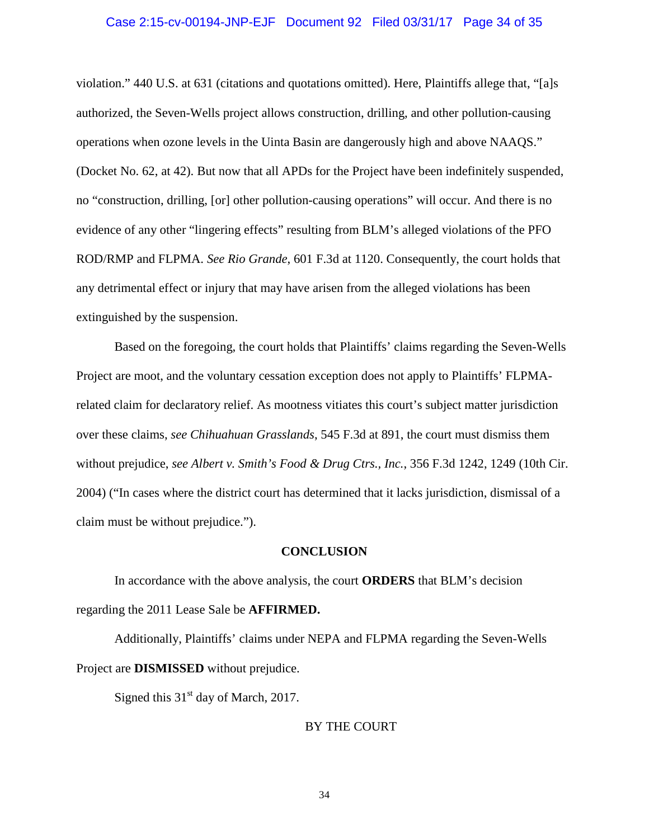# Case 2:15-cv-00194-JNP-EJF Document 92 Filed 03/31/17 Page 34 of 35

violation." 440 U.S. at 631 (citations and quotations omitted). Here, Plaintiffs allege that, "[a]s authorized, the Seven-Wells project allows construction, drilling, and other pollution-causing operations when ozone levels in the Uinta Basin are dangerously high and above NAAQS." (Docket No. 62, at 42). But now that all APDs for the Project have been indefinitely suspended, no "construction, drilling, [or] other pollution-causing operations" will occur. And there is no evidence of any other "lingering effects" resulting from BLM's alleged violations of the PFO ROD/RMP and FLPMA. *See Rio Grande*, 601 F.3d at 1120. Consequently, the court holds that any detrimental effect or injury that may have arisen from the alleged violations has been extinguished by the suspension.

Based on the foregoing, the court holds that Plaintiffs' claims regarding the Seven-Wells Project are moot, and the voluntary cessation exception does not apply to Plaintiffs' FLPMArelated claim for declaratory relief. As mootness vitiates this court's subject matter jurisdiction over these claims, *see Chihuahuan Grasslands*, 545 F.3d at 891, the court must dismiss them without prejudice, *see Albert v. Smith's Food & Drug Ctrs., Inc.*, 356 F.3d 1242, 1249 (10th Cir. 2004) ("In cases where the district court has determined that it lacks jurisdiction, dismissal of a claim must be without prejudice.").

### **CONCLUSION**

In accordance with the above analysis, the court **ORDERS** that BLM's decision regarding the 2011 Lease Sale be **AFFIRMED.** 

Additionally, Plaintiffs' claims under NEPA and FLPMA regarding the Seven-Wells Project are **DISMISSED** without prejudice.

Signed this  $31<sup>st</sup>$  day of March, 2017.

# BY THE COURT